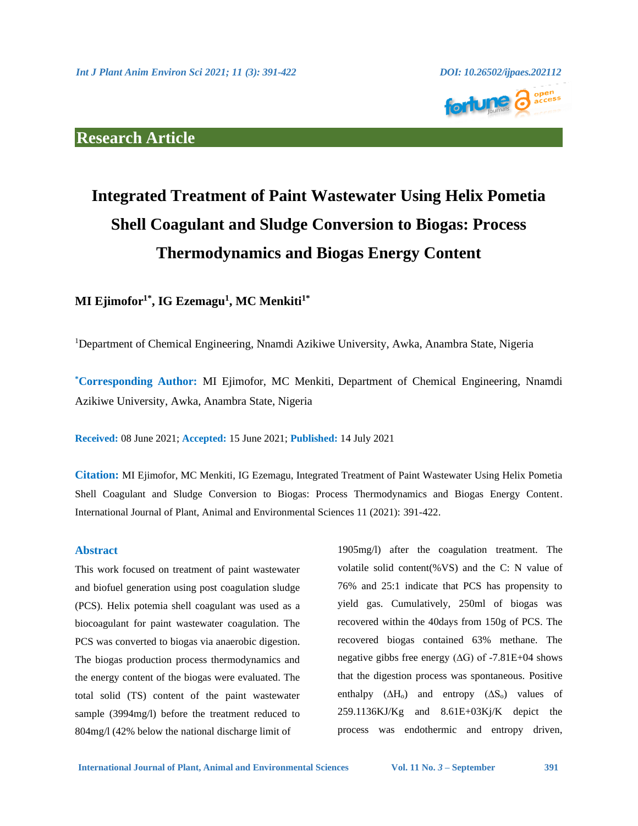

# **Research Article**

# **Integrated Treatment of Paint Wastewater Using Helix Pometia Shell Coagulant and Sludge Conversion to Biogas: Process Thermodynamics and Biogas Energy Content**

# **MI Ejimofor1\*, IG Ezemagu<sup>1</sup> , MC Menkiti1\***

<sup>1</sup>Department of Chemical Engineering, Nnamdi Azikiwe University, Awka, Anambra State, Nigeria

**\*Corresponding Author:** MI Ejimofor, MC Menkiti, Department of Chemical Engineering, Nnamdi Azikiwe University, Awka, Anambra State, Nigeria

**Received:** 08 June 2021; **Accepted:** 15 June 2021; **Published:** 14 July 2021

**Citation:** MI Ejimofor, MC Menkiti, IG Ezemagu, Integrated Treatment of Paint Wastewater Using Helix Pometia Shell Coagulant and Sludge Conversion to Biogas: Process Thermodynamics and Biogas Energy Content. International Journal of Plant, Animal and Environmental Sciences 11 (2021): 391-422.

#### **Abstract**

This work focused on treatment of paint wastewater and biofuel generation using post coagulation sludge (PCS). Helix potemia shell coagulant was used as a biocoagulant for paint wastewater coagulation. The PCS was converted to biogas via anaerobic digestion. The biogas production process thermodynamics and the energy content of the biogas were evaluated. The total solid (TS) content of the paint wastewater sample (3994mg/l) before the treatment reduced to 804mg/l (42% below the national discharge limit of

1905mg/l) after the coagulation treatment. The volatile solid content(%VS) and the C: N value of 76% and 25:1 indicate that PCS has propensity to yield gas. Cumulatively, 250ml of biogas was recovered within the 40days from 150g of PCS. The recovered biogas contained 63% methane. The negative gibbs free energy (∆G) of -7.81E+04 shows that the digestion process was spontaneous. Positive enthalpy  $(\Delta H_o)$  and entropy  $(\Delta S_o)$  values of  $259.1136KJ/Kg$  and  $8.61E+03Kj/K$  depict the process was endothermic and entropy driven,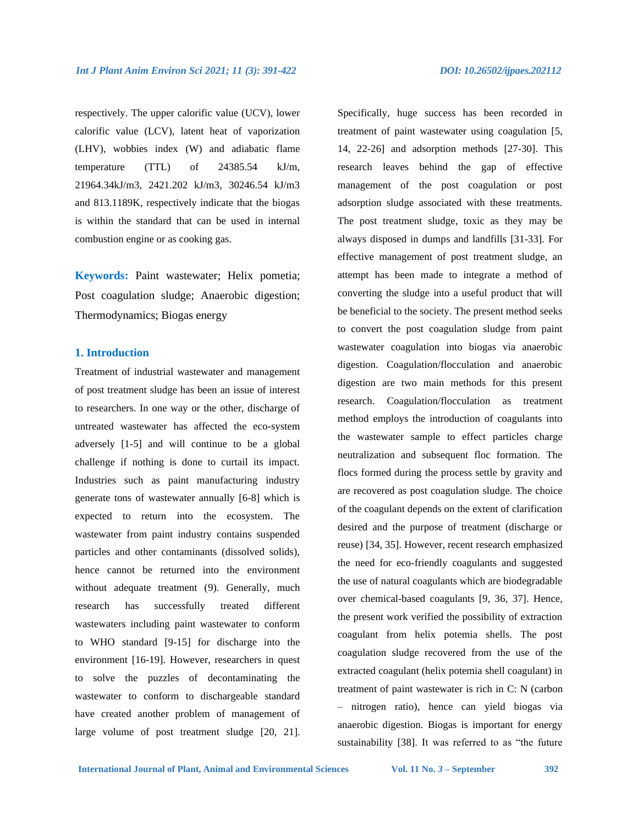respectively. The upper calorific value (UCV), lower calorific value (LCV), latent heat of vaporization (LHV), wobbies index (W) and adiabatic flame temperature (TTL) of 24385.54 kJ/m, 21964.34kJ/m3, 2421.202 kJ/m3, 30246.54 kJ/m3 and 813.1189K, respectively indicate that the biogas is within the standard that can be used in internal combustion engine or as cooking gas.

**Keywords:** Paint wastewater; Helix pometia; Post coagulation sludge; Anaerobic digestion; Thermodynamics; Biogas energy

### **1. Introduction**

Treatment of industrial wastewater and management of post treatment sludge has been an issue of interest to researchers. In one way or the other, discharge of untreated wastewater has affected the eco-system adversely [1-5] and will continue to be a global challenge if nothing is done to curtail its impact. Industries such as paint manufacturing industry generate tons of wastewater annually [6-8] which is expected to return into the ecosystem. The wastewater from paint industry contains suspended particles and other contaminants (dissolved solids), hence cannot be returned into the environment without adequate treatment (9). Generally, much research has successfully treated different wastewaters including paint wastewater to conform to WHO standard [9-15] for discharge into the environment [16-19]. However, researchers in quest to solve the puzzles of decontaminating the wastewater to conform to dischargeable standard have created another problem of management of large volume of post treatment sludge [20, 21].

Specifically, huge success has been recorded in treatment of paint wastewater using coagulation [5, 14, 22-26] and adsorption methods [27-30]. This research leaves behind the gap of effective management of the post coagulation or post adsorption sludge associated with these treatments. The post treatment sludge, toxic as they may be always disposed in dumps and landfills [31-33]. For effective management of post treatment sludge, an attempt has been made to integrate a method of converting the sludge into a useful product that will be beneficial to the society. The present method seeks to convert the post coagulation sludge from paint wastewater coagulation into biogas via anaerobic digestion. Coagulation/flocculation and anaerobic digestion are two main methods for this present research. Coagulation/flocculation as treatment method employs the introduction of coagulants into the wastewater sample to effect particles charge neutralization and subsequent floc formation. The flocs formed during the process settle by gravity and are recovered as post coagulation sludge. The choice of the coagulant depends on the extent of clarification desired and the purpose of treatment (discharge or reuse) [34, 35]. However, recent research emphasized the need for eco-friendly coagulants and suggested the use of natural coagulants which are biodegradable over chemical-based coagulants [9, 36, 37]. Hence, the present work verified the possibility of extraction coagulant from helix potemia shells. The post coagulation sludge recovered from the use of the extracted coagulant (helix potemia shell coagulant) in treatment of paint wastewater is rich in C: N (carbon – nitrogen ratio), hence can yield biogas via anaerobic digestion. Biogas is important for energy sustainability [38]. It was referred to as "the future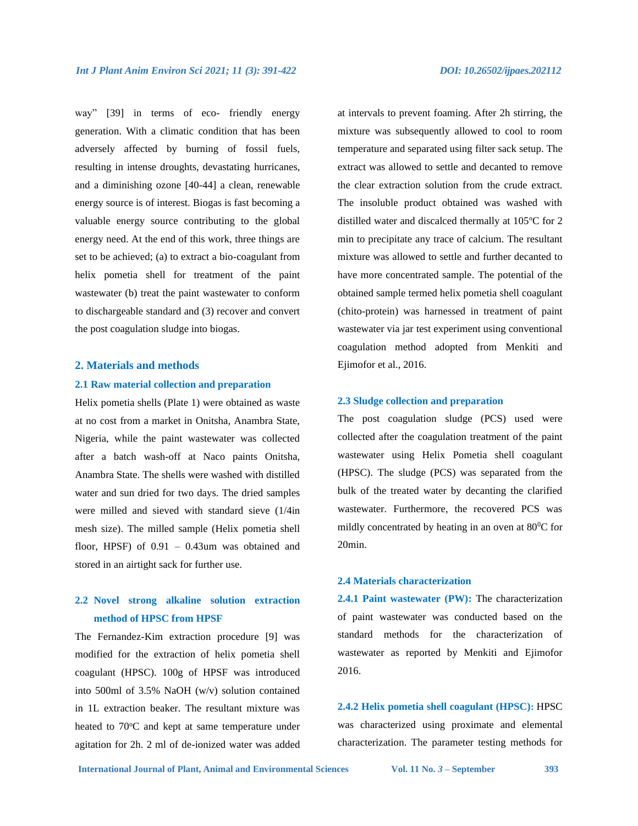way" [39] in terms of eco- friendly energy generation. With a climatic condition that has been adversely affected by burning of fossil fuels, resulting in intense droughts, devastating hurricanes, and a diminishing ozone [40-44] a clean, renewable energy source is of interest. Biogas is fast becoming a valuable energy source contributing to the global energy need. At the end of this work, three things are set to be achieved; (a) to extract a bio-coagulant from helix pometia shell for treatment of the paint wastewater (b) treat the paint wastewater to conform to dischargeable standard and (3) recover and convert the post coagulation sludge into biogas.

#### **2. Materials and methods**

#### **2.1 Raw material collection and preparation**

Helix pometia shells (Plate 1) were obtained as waste at no cost from a market in Onitsha, Anambra State, Nigeria, while the paint wastewater was collected after a batch wash-off at Naco paints Onitsha, Anambra State. The shells were washed with distilled water and sun dried for two days. The dried samples were milled and sieved with standard sieve (1/4in mesh size). The milled sample (Helix pometia shell floor, HPSF) of 0.91 – 0.43um was obtained and stored in an airtight sack for further use.

# **2.2 Novel strong alkaline solution extraction method of HPSC from HPSF**

The Fernandez-Kim extraction procedure [9] was modified for the extraction of helix pometia shell coagulant (HPSC). 100g of HPSF was introduced into 500ml of 3.5% NaOH (w/v) solution contained in 1L extraction beaker. The resultant mixture was heated to  $70^{\circ}$ C and kept at same temperature under agitation for 2h. 2 ml of de-ionized water was added at intervals to prevent foaming. After 2h stirring, the mixture was subsequently allowed to cool to room temperature and separated using filter sack setup. The extract was allowed to settle and decanted to remove the clear extraction solution from the crude extract. The insoluble product obtained was washed with distilled water and discalced thermally at  $105^{\circ}$ C for 2 min to precipitate any trace of calcium. The resultant mixture was allowed to settle and further decanted to have more concentrated sample. The potential of the obtained sample termed helix pometia shell coagulant (chito-protein) was harnessed in treatment of paint wastewater via jar test experiment using conventional coagulation method adopted from Menkiti and Ejimofor et al., 2016.

#### **2.3 Sludge collection and preparation**

The post coagulation sludge (PCS) used were collected after the coagulation treatment of the paint wastewater using Helix Pometia shell coagulant (HPSC). The sludge (PCS) was separated from the bulk of the treated water by decanting the clarified wastewater. Furthermore, the recovered PCS was mildly concentrated by heating in an oven at  $80^{\circ}$ C for 20min.

#### **2.4 Materials characterization**

**2.4.1 Paint wastewater (PW):** The characterization of paint wastewater was conducted based on the standard methods for the characterization of wastewater as reported by Menkiti and Ejimofor 2016.

**2.4.2 Helix pometia shell coagulant (HPSC):** HPSC was characterized using proximate and elemental characterization. The parameter testing methods for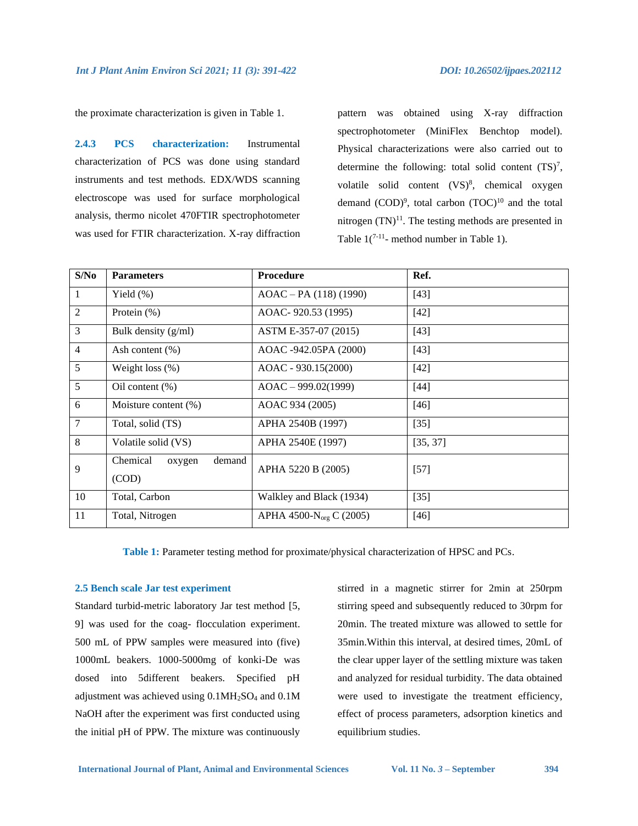the proximate characterization is given in Table 1.

**2.4.3 PCS characterization:** Instrumental characterization of PCS was done using standard instruments and test methods. EDX/WDS scanning electroscope was used for surface morphological analysis, thermo nicolet 470FTIR spectrophotometer was used for FTIR characterization. X-ray diffraction pattern was obtained using X-ray diffraction spectrophotometer (MiniFlex Benchtop model). Physical characterizations were also carried out to determine the following: total solid content  $(TS)^7$ , volatile solid content (VS)<sup>8</sup>, chemical oxygen demand  $(COD)^9$ , total carbon  $(TOC)^{10}$  and the total nitrogen  $(TN)^{11}$ . The testing methods are presented in Table  $1(^{7-11}$ - method number in Table 1).

| S/No           | <b>Parameters</b>                     | <b>Procedure</b>                    | Ref.     |  |
|----------------|---------------------------------------|-------------------------------------|----------|--|
| 1              | Yield (%)                             | $AOAC - PA (118) (1990)$            | $[43]$   |  |
| $\overline{2}$ | Protein $(\%)$                        | AOAC-920.53 (1995)                  | $[42]$   |  |
| 3              | Bulk density $(g/ml)$                 | ASTM E-357-07 (2015)                | $[43]$   |  |
| $\overline{4}$ | Ash content $(\% )$                   | AOAC -942.05PA (2000)               | $[43]$   |  |
| 5              | Weight loss $(\%)$                    | $AOAC - 930.15(2000)$               |          |  |
| 5              | Oil content $(\% )$                   | $AOAC - 999.02(1999)$               | $[44]$   |  |
| 6              | Moisture content (%)                  | AOAC 934 (2005)                     | $[46]$   |  |
| $\overline{7}$ | Total, solid (TS)                     | APHA 2540B (1997)                   | $[35]$   |  |
| 8              | Volatile solid (VS)                   | APHA 2540E (1997)                   | [35, 37] |  |
| 9              | Chemical<br>demand<br>oxygen<br>(COD) | APHA 5220 B (2005)                  |          |  |
| 10             | Total, Carbon                         | Walkley and Black (1934)            | $[35]$   |  |
| 11             | Total, Nitrogen                       | APHA 4500-N <sub>org</sub> C (2005) | $[46]$   |  |

**Table 1:** Parameter testing method for proximate/physical characterization of HPSC and PCs.

#### **2.5 Bench scale Jar test experiment**

Standard turbid-metric laboratory Jar test method [5, 9] was used for the coag- flocculation experiment. 500 mL of PPW samples were measured into (five) 1000mL beakers. 1000-5000mg of konki-De was dosed into 5different beakers. Specified pH adjustment was achieved using 0.1MH2SO<sup>4</sup> and 0.1M NaOH after the experiment was first conducted using the initial pH of PPW. The mixture was continuously stirred in a magnetic stirrer for 2min at 250rpm stirring speed and subsequently reduced to 30rpm for 20min. The treated mixture was allowed to settle for 35min.Within this interval, at desired times, 20mL of the clear upper layer of the settling mixture was taken and analyzed for residual turbidity. The data obtained were used to investigate the treatment efficiency, effect of process parameters, adsorption kinetics and equilibrium studies.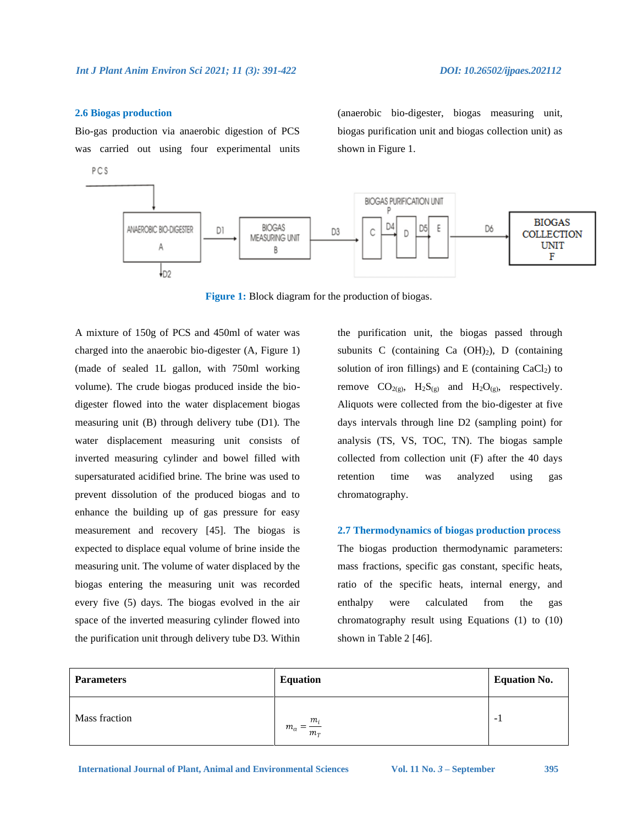#### **2.6 Biogas production**

Bio-gas production via anaerobic digestion of PCS was carried out using four experimental units

PCS

(anaerobic bio-digester, biogas measuring unit, biogas purification unit and biogas collection unit) as shown in Figure 1.



**Figure 1:** Block diagram for the production of biogas.

A mixture of 150g of PCS and 450ml of water was charged into the anaerobic bio-digester (A, Figure 1) (made of sealed 1L gallon, with 750ml working volume). The crude biogas produced inside the biodigester flowed into the water displacement biogas measuring unit (B) through delivery tube (D1). The water displacement measuring unit consists of inverted measuring cylinder and bowel filled with supersaturated acidified brine. The brine was used to prevent dissolution of the produced biogas and to enhance the building up of gas pressure for easy measurement and recovery [45]. The biogas is expected to displace equal volume of brine inside the measuring unit. The volume of water displaced by the biogas entering the measuring unit was recorded every five (5) days. The biogas evolved in the air space of the inverted measuring cylinder flowed into the purification unit through delivery tube D3. Within the purification unit, the biogas passed through subunits C (containing Ca  $(OH)_2$ ), D (containing solution of iron fillings) and E (containing  $CaCl<sub>2</sub>$ ) to remove  $CO_{2(g)}$ ,  $H_2S_{(g)}$  and  $H_2O_{(g)}$ , respectively. Aliquots were collected from the bio-digester at five days intervals through line D2 (sampling point) for analysis (TS, VS, TOC, TN). The biogas sample collected from collection unit (F) after the 40 days retention time was analyzed using gas chromatography.

**2.7 Thermodynamics of biogas production process** The biogas production thermodynamic parameters: mass fractions, specific gas constant, specific heats, ratio of the specific heats, internal energy, and enthalpy were calculated from the gas chromatography result using Equations (1) to (10) shown in Table 2 [46].

| <b>Parameters</b> | <b>Equation</b>                     | <b>Equation No.</b> |
|-------------------|-------------------------------------|---------------------|
| Mass fraction     | $m_i$<br>$m_{a}$<br>=<br>$m_{\tau}$ | $-1$                |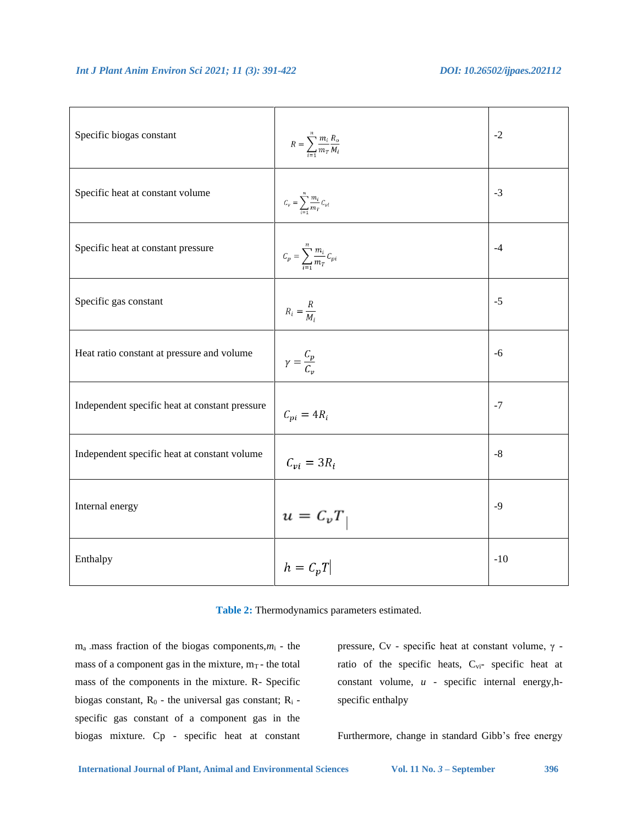| Specific biogas constant                       | $R = \sum_{i=1}^{n} \frac{m_i}{m_T} \frac{R_o}{M_i}$            | $-2$        |
|------------------------------------------------|-----------------------------------------------------------------|-------------|
| Specific heat at constant volume               | $C_v = \sum_{i=1}^n \frac{m_i}{m_T} C_{vi}$                     | $-3$        |
| Specific heat at constant pressure             | $\mathcal{C}_p = \sum_{i=1}^n \frac{m_i}{m_T} \mathcal{C}_{pi}$ | $-4$        |
| Specific gas constant                          | $R_i = \frac{R}{M_i}$                                           | $-5$        |
| Heat ratio constant at pressure and volume     | $\gamma = \frac{C_p}{C_n}$                                      | $-6$        |
| Independent specific heat at constant pressure | $C_{pi} = 4R_i$                                                 | $-7$        |
| Independent specific heat at constant volume   | $C_{vi} = 3R_i$                                                 | $\text{-}8$ |
| Internal energy                                | $u = \ensuremath{\mathcal{C}}_v T$                              | $-9$        |
| Enthalpy                                       | $h = C_p T$                                                     | $-10$       |

**Table 2:** Thermodynamics parameters estimated.

ma -mass fraction of the biogas components,*m*<sup>i</sup> - the mass of a component gas in the mixture,  $m_T$  - the total mass of the components in the mixture. R- Specific biogas constant,  $R_0$  - the universal gas constant;  $R_i$  specific gas constant of a component gas in the biogas mixture. Cp - specific heat at constant

pressure, Cv - specific heat at constant volume, γ ratio of the specific heats, Cvi- specific heat at constant volume, *u* - specific internal energy,hspecific enthalpy

Furthermore, change in standard Gibb's free energy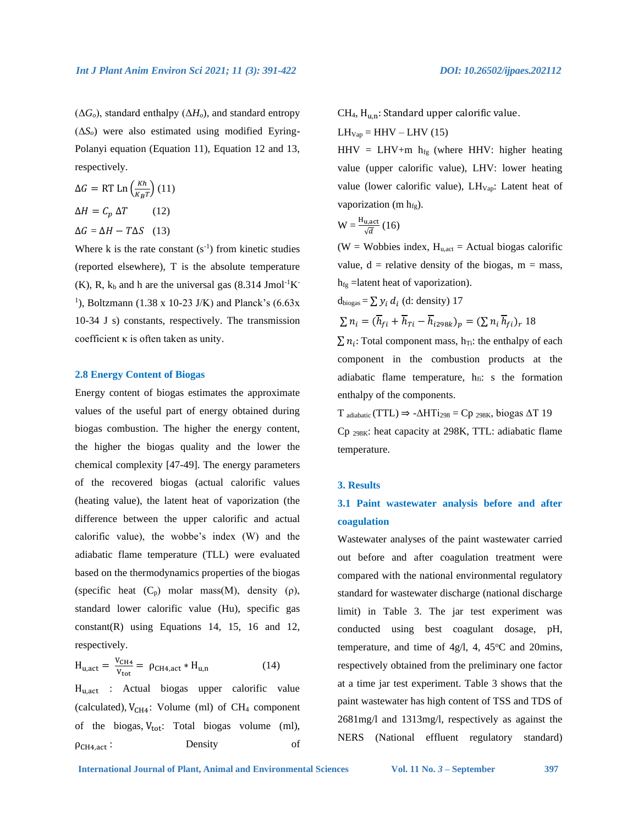$(\Delta G_o)$ , standard enthalpy  $(\Delta H_o)$ , and standard entropy (Δ*So*) were also estimated using modified Eyring-Polanyi equation (Equation 11), Equation 12 and 13, respectively.

$$
\Delta G = RT \operatorname{Ln} \left(\frac{Kh}{K_B T}\right) (11)
$$

$$
\Delta H = C_p \Delta T \qquad (12)
$$

$$
\Delta G = \Delta H - T \Delta S \quad (13)
$$

Where  $k$  is the rate constant  $(s^{-1})$  from kinetic studies (reported elsewhere), T is the absolute temperature  $(K)$ , R,  $k_b$  and h are the universal gas (8.314 Jmol<sup>-1</sup>K<sup>-</sup> <sup>1</sup>), Boltzmann (1.38 x 10-23 J/K) and Planck's (6.63x) 10-34 J s) constants, respectively. The transmission coefficient κ is often taken as unity.

#### **2.8 Energy Content of Biogas**

Energy content of biogas estimates the approximate values of the useful part of energy obtained during biogas combustion. The higher the energy content, the higher the biogas quality and the lower the chemical complexity [47-49]. The energy parameters of the recovered biogas (actual calorific values (heating value), the latent heat of vaporization (the difference between the upper calorific and actual calorific value), the wobbe's index (W) and the adiabatic flame temperature (TLL) were evaluated based on the thermodynamics properties of the biogas (specific heat  $(C_p)$  molar mass(M), density  $(\rho)$ , standard lower calorific value (Hu), specific gas constant(R) using Equations 14, 15, 16 and 12, respectively.

$$
H_{u,act} = \frac{V_{CH4}}{V_{tot}} = \rho_{CH4,act} * H_{u,n}
$$
 (14)

Hu,act : Actual biogas upper calorific value (calculated),  $V_{CH4}$ : Volume (ml) of CH<sub>4</sub> component of the biogas,  $V_{tot}$ : Total biogas volume (ml), ρCH4,act : Density of  $CH<sub>4</sub>, H<sub>u.n</sub>: Standard upper calorific value.$  $LH_{Vap} = HHV - LHV (15)$ 

HHV = LHV+m  $h_{fg}$  (where HHV: higher heating value (upper calorific value), LHV: lower heating value (lower calorific value),  $LH_{Vap}$ : Latent heat of vaporization (m  $h_{fg}$ ).

$$
W = \frac{H_{u,act}}{\sqrt{d}} (16)
$$

(W = Wobbies index,  $H_{u,act}$  = Actual biogas calorific value,  $d =$  relative density of the biogas,  $m =$  mass,  $h_{fg}$  =latent heat of vaporization).

 $d_{\text{biogas}} = \sum y_i d_i$  (d: density) 17

$$
\sum n_i = (\overline{h}_{fi} + \overline{h}_{Ti} - \overline{h}_{i298k})_p = (\sum n_i \overline{h}_{fi})_r 18
$$

 $\sum n_i$ : Total component mass,  $h_{Ti}$ : the enthalpy of each component in the combustion products at the adiabatic flame temperature,  $h_{fi}$ : s the formation enthalpy of the components.

 $T_{adiabatic}$  (TTL)  $\Rightarrow$  - $\Delta HTi_{298}$  = Cp <sub>298K</sub>, biogas  $\Delta T$  19 Cp 298K: heat capacity at 298K, TTL: adiabatic flame temperature.

#### **3. Results**

## **3.1 Paint wastewater analysis before and after coagulation**

Wastewater analyses of the paint wastewater carried out before and after coagulation treatment were compared with the national environmental regulatory standard for wastewater discharge (national discharge limit) in Table 3. The jar test experiment was conducted using best coagulant dosage, pH, temperature, and time of 4g/l, 4, 45 $\degree$ C and 20mins, respectively obtained from the preliminary one factor at a time jar test experiment. Table 3 shows that the paint wastewater has high content of TSS and TDS of 2681mg/l and 1313mg/l, respectively as against the NERS (National effluent regulatory standard)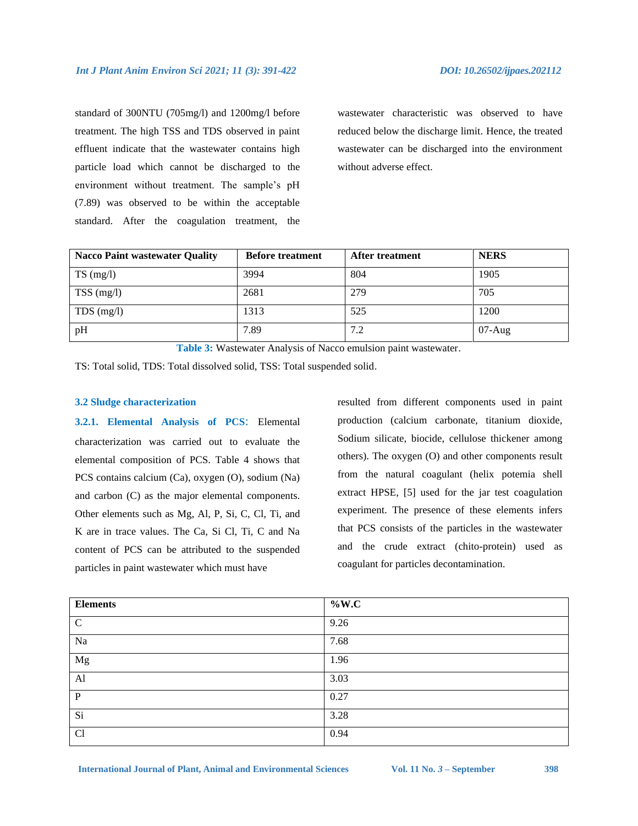standard of 300NTU (705mg/l) and 1200mg/l before treatment. The high TSS and TDS observed in paint effluent indicate that the wastewater contains high particle load which cannot be discharged to the environment without treatment. The sample's pH (7.89) was observed to be within the acceptable standard. After the coagulation treatment, the wastewater characteristic was observed to have reduced below the discharge limit. Hence, the treated wastewater can be discharged into the environment without adverse effect.

| <b>Nacco Paint wastewater Quality</b> | <b>Before treatment</b> | <b>After treatment</b> | <b>NERS</b> |
|---------------------------------------|-------------------------|------------------------|-------------|
| $TS \text{ (mg/l)}$                   | 3994                    | 804                    | 1905        |
| $TSS$ (mg/l)                          | 2681                    | 279                    | 705         |
| TDS $(mg/l)$                          | 1313                    | 525                    | 1200        |
| pH                                    | 7.89                    | 7.2                    | $07-Aug$    |

**Table 3:** Wastewater Analysis of Nacco emulsion paint wastewater.

TS: Total solid, TDS: Total dissolved solid, TSS: Total suspended solid.

### **3.2 Sludge characterization**

**3.2.1. Elemental Analysis of PCS**: Elemental characterization was carried out to evaluate the elemental composition of PCS. Table 4 shows that PCS contains calcium (Ca), oxygen (O), sodium (Na) and carbon (C) as the major elemental components. Other elements such as Mg, Al, P, Si, C, Cl, Ti, and K are in trace values. The Ca, Si Cl, Ti, C and Na content of PCS can be attributed to the suspended particles in paint wastewater which must have

resulted from different components used in paint production (calcium carbonate, titanium dioxide, Sodium silicate, biocide, cellulose thickener among others). The oxygen (O) and other components result from the natural coagulant (helix potemia shell extract HPSE, [5] used for the jar test coagulation experiment. The presence of these elements infers that PCS consists of the particles in the wastewater and the crude extract (chito-protein) used as coagulant for particles decontamination.

| <b>Elements</b> | $\%$ W.C |
|-----------------|----------|
| $\mathcal{C}$   | 9.26     |
| Na              | 7.68     |
| $_{\rm Mg}$     | 1.96     |
| $\mathbf{A}$ l  | 3.03     |
| $\mathbf{P}$    | 0.27     |
| Si              | 3.28     |
| Cl              | 0.94     |

International Journal of Plant, Animal and Environmental Sciences Vol. 11 No. 3 – September 398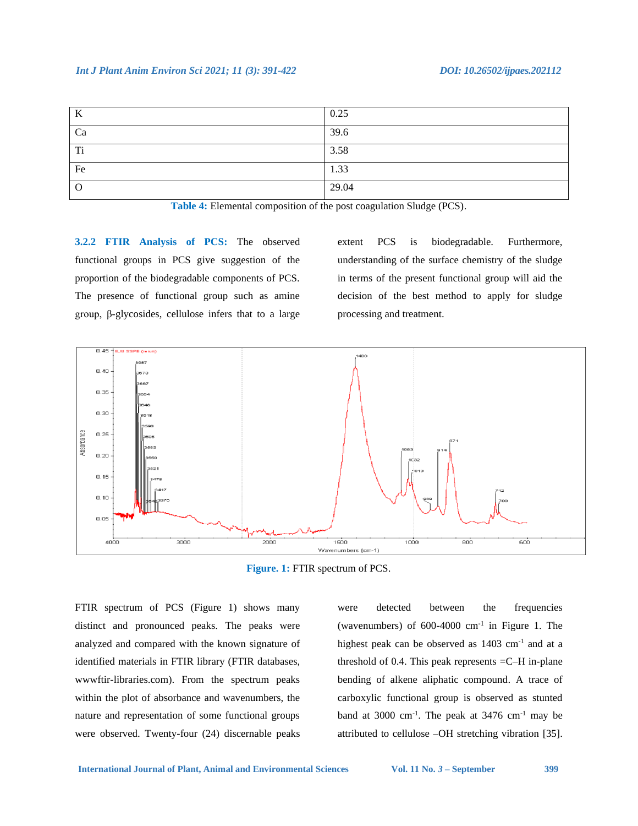#### *Int J Plant Anim Environ Sci 2021; 11 (3): 391-422 DOI: 10.26502/ijpaes.202112*

| K              | 0.25  |
|----------------|-------|
| Ca             | 39.6  |
| T <sub>i</sub> | 3.58  |
| Fe             | 1.33  |
| $\Omega$       | 29.04 |

**Table 4:** Elemental composition of the post coagulation Sludge (PCS).

**3.2.2 FTIR Analysis of PCS:** The observed functional groups in PCS give suggestion of the proportion of the biodegradable components of PCS. The presence of functional group such as amine group, β-glycosides, cellulose infers that to a large extent PCS is biodegradable. Furthermore, understanding of the surface chemistry of the sludge in terms of the present functional group will aid the decision of the best method to apply for sludge processing and treatment.



**Figure. 1:** FTIR spectrum of PCS.

FTIR spectrum of PCS (Figure 1) shows many distinct and pronounced peaks. The peaks were analyzed and compared with the known signature of identified materials in FTIR library (FTIR databases, wwwftir-libraries.com). From the spectrum peaks within the plot of absorbance and wavenumbers, the nature and representation of some functional groups were observed. Twenty-four (24) discernable peaks were detected between the frequencies (wavenumbers) of  $600-4000$  cm<sup>-1</sup> in Figure 1. The highest peak can be observed as  $1403 \text{ cm}^{-1}$  and at a threshold of 0.4. This peak represents  $=$  C $-$ H in-plane bending of alkene aliphatic compound. A trace of carboxylic functional group is observed as stunted band at 3000 cm<sup>-1</sup>. The peak at  $3476$  cm<sup>-1</sup> may be attributed to cellulose –OH stretching vibration [35].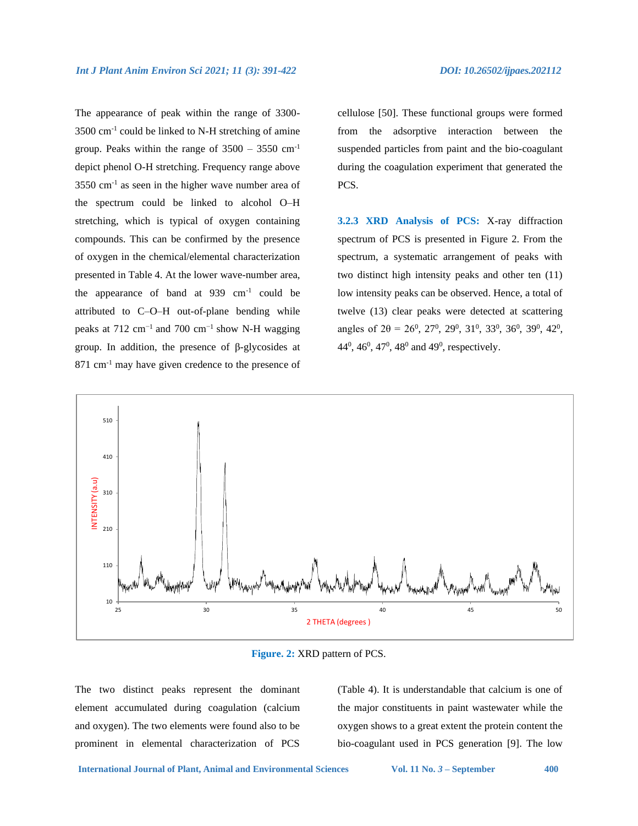The appearance of peak within the range of 3300-  $3500 \text{ cm}^{-1}$  could be linked to N-H stretching of amine group. Peaks within the range of  $3500 - 3550$  cm<sup>-1</sup> depict phenol O-H stretching. Frequency range above 3550 cm-1 as seen in the higher wave number area of the spectrum could be linked to alcohol O–H stretching, which is typical of oxygen containing compounds. This can be confirmed by the presence of oxygen in the chemical/elemental characterization presented in Table 4. At the lower wave-number area, the appearance of band at  $939 \text{ cm}^{-1}$  could be attributed to C–O–H out-of-plane bending while peaks at  $712 \text{ cm}^{-1}$  and  $700 \text{ cm}^{-1}$  show N-H wagging group. In addition, the presence of β-glycosides at 871 cm<sup>-1</sup> may have given credence to the presence of

cellulose [50]. These functional groups were formed from the adsorptive interaction between the suspended particles from paint and the bio-coagulant during the coagulation experiment that generated the PCS.

**3.2.3 XRD Analysis of PCS:** X-ray diffraction spectrum of PCS is presented in Figure 2. From the spectrum, a systematic arrangement of peaks with two distinct high intensity peaks and other ten (11) low intensity peaks can be observed. Hence, a total of twelve (13) clear peaks were detected at scattering angles of  $2\theta = 26^0$ ,  $27^0$ ,  $29^0$ ,  $31^0$ ,  $33^0$ ,  $36^0$ ,  $39^0$ ,  $42^0$ ,  $44^0$ ,  $46^0$ ,  $47^0$ ,  $48^0$  and  $49^0$ , respectively.



**Figure. 2:** XRD pattern of PCS.

The two distinct peaks represent the dominant element accumulated during coagulation (calcium and oxygen). The two elements were found also to be prominent in elemental characterization of PCS

(Table 4). It is understandable that calcium is one of the major constituents in paint wastewater while the oxygen shows to a great extent the protein content the bio-coagulant used in PCS generation [9]. The low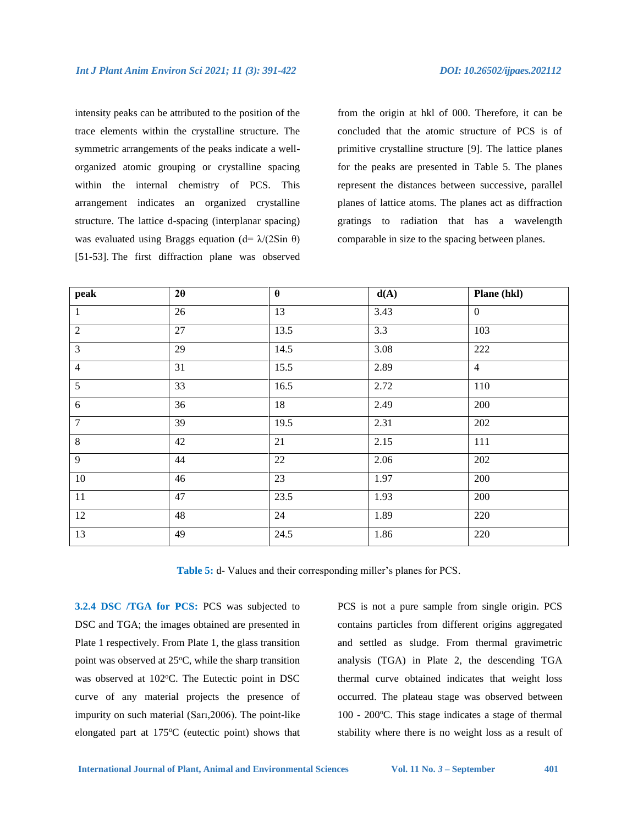intensity peaks can be attributed to the position of the trace elements within the crystalline structure. The symmetric arrangements of the peaks indicate a wellorganized atomic grouping or crystalline spacing within the internal chemistry of PCS. This arrangement indicates an organized crystalline structure. The lattice d-spacing (interplanar spacing) was evaluated using Braggs equation (d=  $\lambda$ /(2Sin  $\theta$ ) [51-53]. The first diffraction plane was observed from the origin at hkl of 000. Therefore, it can be concluded that the atomic structure of PCS is of primitive crystalline structure [9]. The lattice planes for the peaks are presented in Table 5. The planes represent the distances between successive, parallel planes of lattice atoms. The planes act as diffraction gratings to radiation that has a wavelength comparable in size to the spacing between planes.

| peak           | $2\theta$ | $\theta$ | d(A) | Plane (hkl)    |
|----------------|-----------|----------|------|----------------|
| $\mathbf{1}$   | 26        | 13       | 3.43 | $\mathbf{0}$   |
| $\overline{2}$ | 27        | 13.5     | 3.3  | 103            |
| $\overline{3}$ | 29        | 14.5     | 3.08 | 222            |
| $\overline{4}$ | 31        | 15.5     | 2.89 | $\overline{4}$ |
| 5              | 33        | 16.5     | 2.72 | 110            |
| $6\,$          | 36        | 18       | 2.49 | 200            |
| $\overline{7}$ | 39        | 19.5     | 2.31 | 202            |
| $\,8\,$        | 42        | 21       | 2.15 | 111            |
| 9              | 44        | 22       | 2.06 | 202            |
| $10\,$         | 46        | 23       | 1.97 | 200            |
| $11\,$         | 47        | 23.5     | 1.93 | 200            |
| 12             | 48        | 24       | 1.89 | 220            |
| 13             | 49        | 24.5     | 1.86 | 220            |

**Table 5:** d- Values and their corresponding miller's planes for PCS.

**3.2.4 DSC /TGA for PCS:** PCS was subjected to DSC and TGA; the images obtained are presented in Plate 1 respectively. From Plate 1, the glass transition point was observed at  $25^{\circ}$ C, while the sharp transition was observed at 102°C. The Eutectic point in DSC curve of any material projects the presence of impurity on such material (Sarı,2006). The point-like elongated part at  $175^{\circ}$ C (eutectic point) shows that PCS is not a pure sample from single origin. PCS contains particles from different origins aggregated and settled as sludge. From thermal gravimetric analysis (TGA) in Plate 2, the descending TGA thermal curve obtained indicates that weight loss occurred. The plateau stage was observed between  $100 - 200$ °C. This stage indicates a stage of thermal stability where there is no weight loss as a result of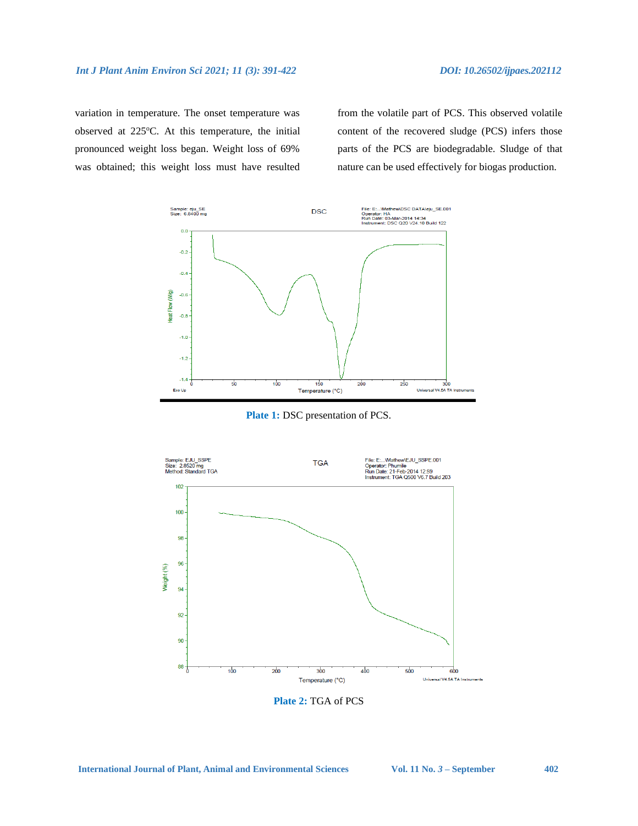variation in temperature. The onset temperature was observed at 225°C. At this temperature, the initial pronounced weight loss began. Weight loss of 69% was obtained; this weight loss must have resulted

from the volatile part of PCS. This observed volatile content of the recovered sludge (PCS) infers those parts of the PCS are biodegradable. Sludge of that nature can be used effectively for biogas production.



**Plate 1:** DSC presentation of PCS.



**Plate 2:** TGA of PCS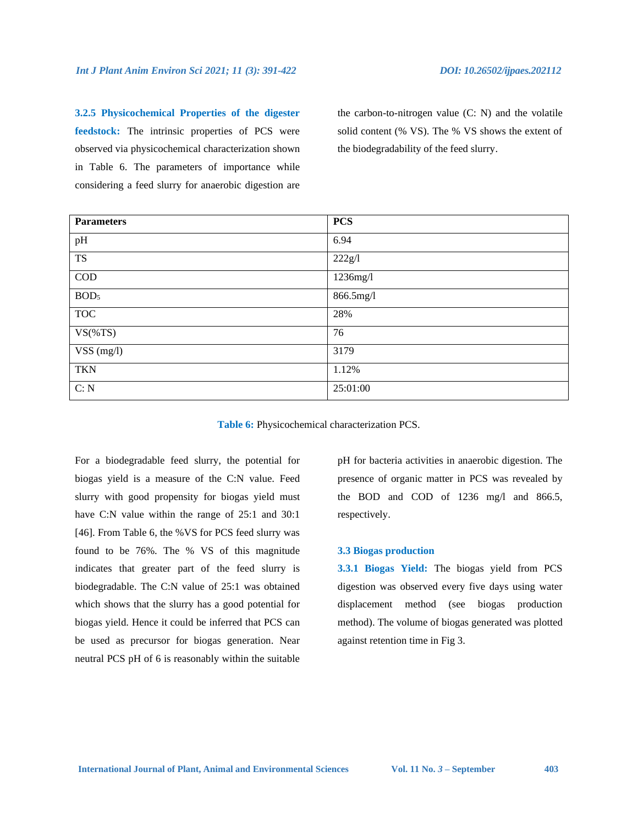**3.2.5 Physicochemical Properties of the digester feedstock:** The intrinsic properties of PCS were observed via physicochemical characterization shown in Table 6. The parameters of importance while considering a feed slurry for anaerobic digestion are

the carbon-to-nitrogen value (C: N) and the volatile solid content (% VS). The % VS shows the extent of the biodegradability of the feed slurry.

| <b>Parameters</b>       | <b>PCS</b> |
|-------------------------|------------|
| pH                      | 6.94       |
| <b>TS</b>               | 222g/l     |
| $\mathop{\mathrm{COD}}$ | 1236mg/l   |
| BOD <sub>5</sub>        | 866.5mg/l  |
| <b>TOC</b>              | 28%        |
| $VS$ (%TS)              | 76         |
| VSS (mg/l)              | 3179       |
| <b>TKN</b>              | 1.12%      |
| C: N                    | 25:01:00   |

**Table 6:** Physicochemical characterization PCS.

For a biodegradable feed slurry, the potential for biogas yield is a measure of the C:N value. Feed slurry with good propensity for biogas yield must have C:N value within the range of 25:1 and 30:1 [46]. From Table 6, the %VS for PCS feed slurry was found to be 76%. The % VS of this magnitude indicates that greater part of the feed slurry is biodegradable. The C:N value of 25:1 was obtained which shows that the slurry has a good potential for biogas yield. Hence it could be inferred that PCS can be used as precursor for biogas generation. Near neutral PCS pH of 6 is reasonably within the suitable

pH for bacteria activities in anaerobic digestion. The presence of organic matter in PCS was revealed by the BOD and COD of 1236 mg/l and 866.5, respectively.

#### **3.3 Biogas production**

**3.3.1 Biogas Yield:** The biogas yield from PCS digestion was observed every five days using water displacement method (see biogas production method). The volume of biogas generated was plotted against retention time in Fig 3.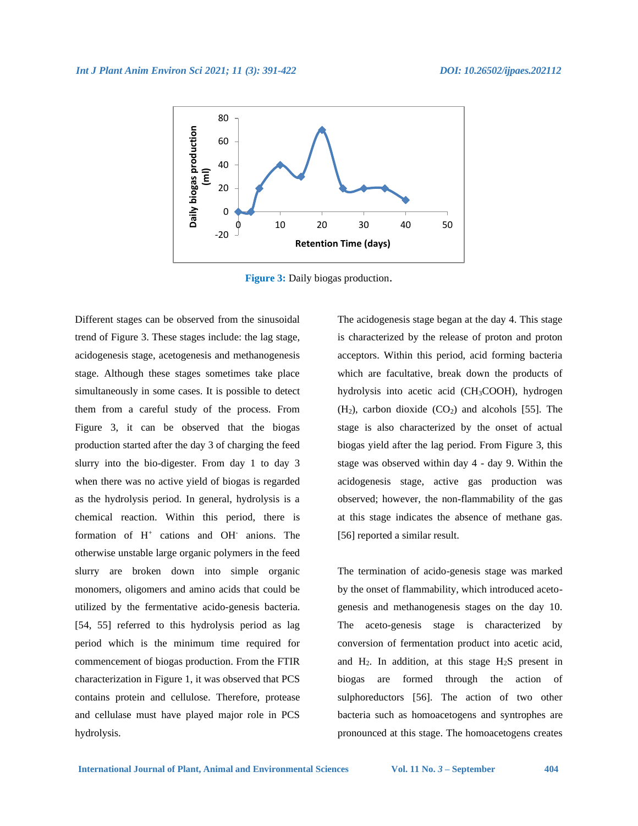

**Figure 3:** Daily biogas production.

Different stages can be observed from the sinusoidal trend of Figure 3. These stages include: the lag stage, acidogenesis stage, acetogenesis and methanogenesis stage. Although these stages sometimes take place simultaneously in some cases. It is possible to detect them from a careful study of the process. From Figure 3, it can be observed that the biogas production started after the day 3 of charging the feed slurry into the bio-digester. From day 1 to day 3 when there was no active yield of biogas is regarded as the hydrolysis period. In general, hydrolysis is a chemical reaction. Within this period, there is formation of H<sup>+</sup> cations and OH<sup>-</sup> anions. The otherwise unstable large organic polymers in the feed slurry are broken down into simple organic monomers, oligomers and amino acids that could be utilized by the fermentative acido-genesis bacteria. [54, 55] referred to this hydrolysis period as lag period which is the minimum time required for commencement of biogas production. From the FTIR characterization in Figure 1, it was observed that PCS contains protein and cellulose. Therefore, protease and cellulase must have played major role in PCS hydrolysis.

The acidogenesis stage began at the day 4. This stage is characterized by the release of proton and proton acceptors. Within this period, acid forming bacteria which are facultative, break down the products of hydrolysis into acetic acid (CH3COOH), hydrogen  $(H<sub>2</sub>)$ , carbon dioxide  $(CO<sub>2</sub>)$  and alcohols [55]. The stage is also characterized by the onset of actual biogas yield after the lag period. From Figure 3, this stage was observed within day 4 - day 9. Within the acidogenesis stage, active gas production was observed; however, the non-flammability of the gas at this stage indicates the absence of methane gas. [56] reported a similar result.

The termination of acido-genesis stage was marked by the onset of flammability, which introduced acetogenesis and methanogenesis stages on the day 10. The aceto-genesis stage is characterized by conversion of fermentation product into acetic acid, and  $H_2$ . In addition, at this stage  $H_2S$  present in biogas are formed through the action of [sulphoreductors](https://en.wikipedia.org/w/index.php?title=Sulphoreductor&action=edit&redlink=1) [56]. The action of two other bacteria such as [homoacetogens](https://en.wikipedia.org/w/index.php?title=Homoacetogen&action=edit&redlink=1) and [syntrophes](https://en.wikipedia.org/w/index.php?title=Syntrophe&action=edit&redlink=1) are pronounced at this stage. The homoacetogens creates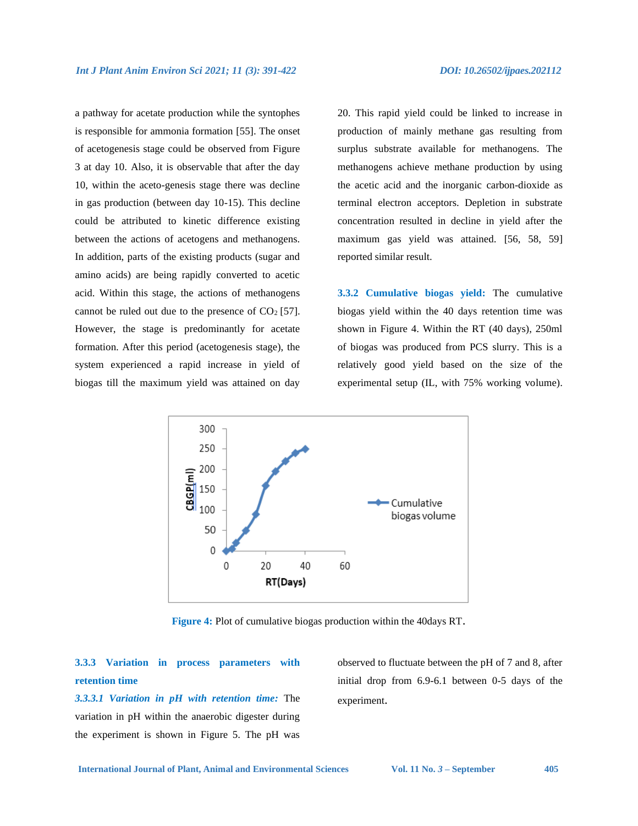a pathway for acetate production while the syntophes is responsible for ammonia formation [55]. The onset of acetogenesis stage could be observed from Figure 3 at day 10. Also, it is observable that after the day 10, within the aceto-genesis stage there was decline in gas production (between day 10-15). This decline could be attributed to kinetic difference existing between the actions of acetogens and methanogens. In addition, parts of the existing products (sugar and amino acids) are being rapidly converted to acetic acid. Within this stage, the actions of methanogens cannot be ruled out due to the presence of  $CO<sub>2</sub>$  [57]. However, the stage is predominantly for acetate formation. After this period (acetogenesis stage), the system experienced a rapid increase in yield of biogas till the maximum yield was attained on day

20. This rapid yield could be linked to increase in production of mainly methane gas resulting from surplus substrate available for methanogens. The methanogens achieve methane production by using the [acetic acid](https://en.wikipedia.org/wiki/Acetic_acid) and the inorganic [carbon-dioxide](https://en.wikipedia.org/wiki/Carbon_dioxide) as terminal electron acceptors. Depletion in substrate concentration resulted in decline in yield after the maximum gas yield was attained. [56, 58, 59] reported similar result.

**3.3.2 Cumulative biogas yield:** The cumulative biogas yield within the 40 days retention time was shown in Figure 4. Within the RT (40 days), 250ml of biogas was produced from PCS slurry. This is a relatively good yield based on the size of the experimental setup (IL, with 75% working volume).



**Figure 4:** Plot of cumulative biogas production within the 40days RT.

# **3.3.3 Variation in process parameters with retention time**

*3.3.3.1 Variation in pH with retention time:* The variation in pH within the anaerobic digester during the experiment is shown in Figure 5. The pH was

observed to fluctuate between the pH of 7 and 8, after initial drop from 6.9-6.1 between 0-5 days of the experiment.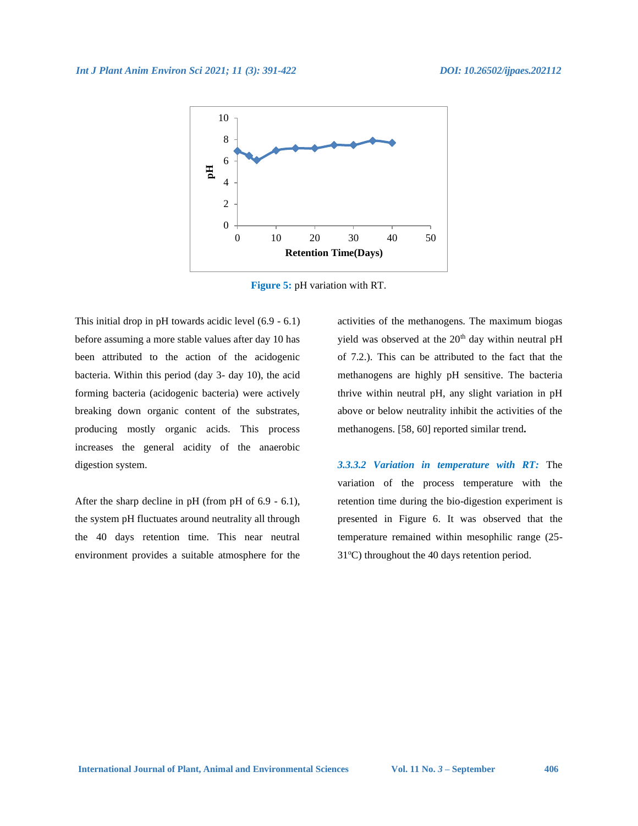

**Figure 5:** pH variation with RT.

This initial drop in pH towards acidic level (6.9 - 6.1) before assuming a more stable values after day 10 has been attributed to the action of the acidogenic bacteria. Within this period (day 3- day 10), the acid forming bacteria (acidogenic bacteria) were actively breaking down organic content of the substrates, producing mostly organic acids. This process increases the general acidity of the anaerobic digestion system.

After the sharp decline in pH (from pH of 6.9 - 6.1), the system pH fluctuates around neutrality all through the 40 days retention time. This near neutral environment provides a suitable atmosphere for the activities of the methanogens. The maximum biogas yield was observed at the  $20<sup>th</sup>$  day within neutral pH of 7.2.). This can be attributed to the fact that the methanogens are highly pH sensitive. The bacteria thrive within neutral pH, any slight variation in pH above or below neutrality inhibit the activities of the methanogens. [58, 60] reported similar trend**.**

*3.3.3.2 Variation in temperature with RT:* The variation of the process temperature with the retention time during the bio-digestion experiment is presented in Figure 6. It was observed that the temperature remained within mesophilic range (25- 31°C) throughout the 40 days retention period.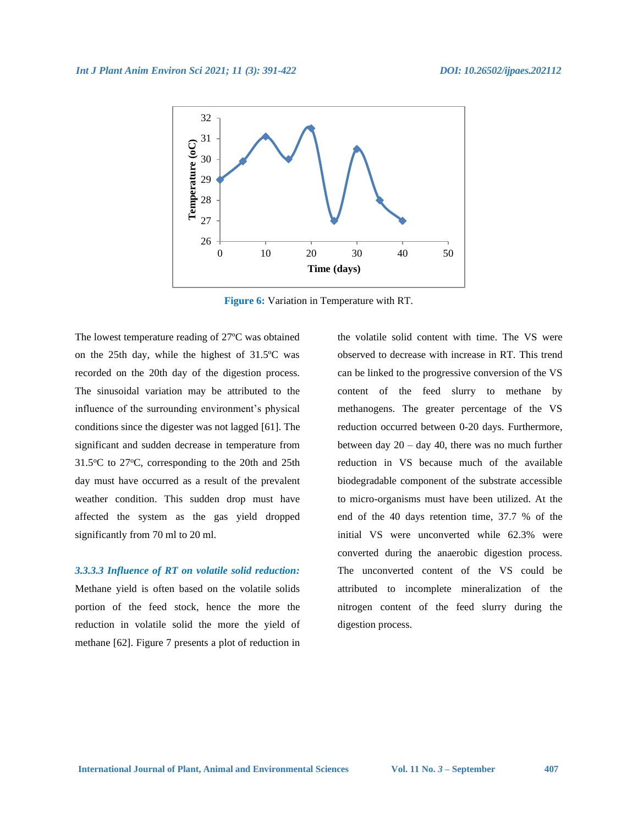

**Figure 6:** Variation in Temperature with RT.

The lowest temperature reading of 27ºC was obtained on the 25th day, while the highest of 31.5ºC was recorded on the 20th day of the digestion process. The sinusoidal variation may be attributed to the influence of the surrounding environment's physical conditions since the digester was not lagged [61]. The significant and sudden decrease in temperature from  $31.5^{\circ}$ C to  $27^{\circ}$ C, corresponding to the 20th and 25th day must have occurred as a result of the prevalent weather condition. This sudden drop must have affected the system as the gas yield dropped significantly from 70 ml to 20 ml.

#### *3.3.3.3 Influence of RT on volatile solid reduction:*

Methane yield is often based on the volatile solids portion of the feed stock, hence the more the reduction in volatile solid the more the yield of methane [62]. Figure 7 presents a plot of reduction in the volatile solid content with time. The VS were observed to decrease with increase in RT. This trend can be linked to the progressive conversion of the VS content of the feed slurry to methane by methanogens. The greater percentage of the VS reduction occurred between 0-20 days. Furthermore, between day  $20 - day 40$ , there was no much further reduction in VS because much of the available biodegradable component of the substrate accessible to micro-organisms must have been utilized. At the end of the 40 days retention time, 37.7 % of the initial VS were unconverted while 62.3% were converted during the anaerobic digestion process. The unconverted content of the VS could be attributed to incomplete mineralization of the nitrogen content of the feed slurry during the digestion process.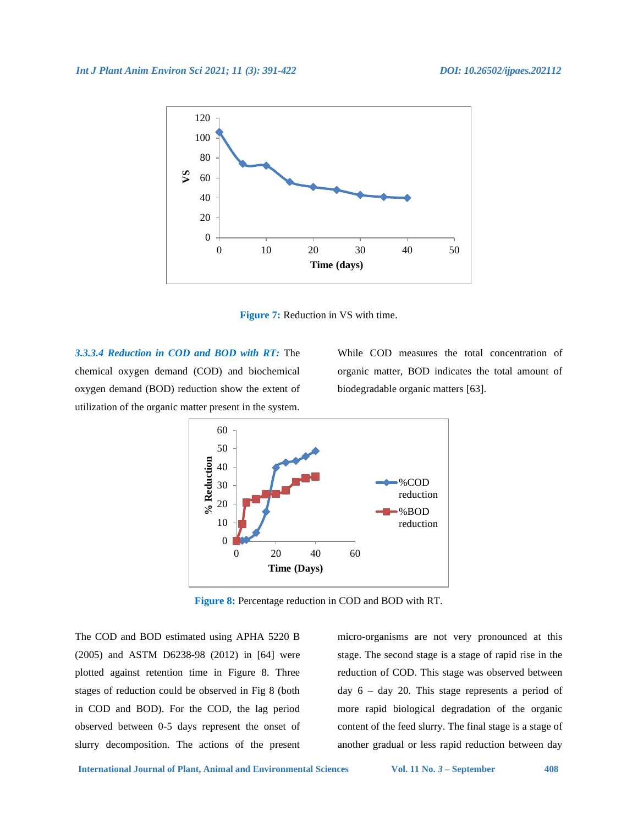

**Figure 7:** Reduction in VS with time.

*3.3.3.4 Reduction in COD and BOD with RT:* The chemical oxygen demand (COD) and biochemical oxygen demand (BOD) reduction show the extent of utilization of the organic matter present in the system.

While COD measures the total concentration of organic matter, BOD indicates the total amount of biodegradable organic matters [63].



**Figure 8:** Percentage reduction in COD and BOD with RT.

The COD and BOD estimated using APHA 5220 B (2005) and ASTM D6238-98 (2012) in [64] were plotted against retention time in Figure 8. Three stages of reduction could be observed in Fig 8 (both in COD and BOD). For the COD, the lag period observed between 0-5 days represent the onset of slurry decomposition. The actions of the present micro-organisms are not very pronounced at this stage. The second stage is a stage of rapid rise in the reduction of COD. This stage was observed between day  $6 - day$  20. This stage represents a period of more rapid biological degradation of the organic content of the feed slurry. The final stage is a stage of another gradual or less rapid reduction between day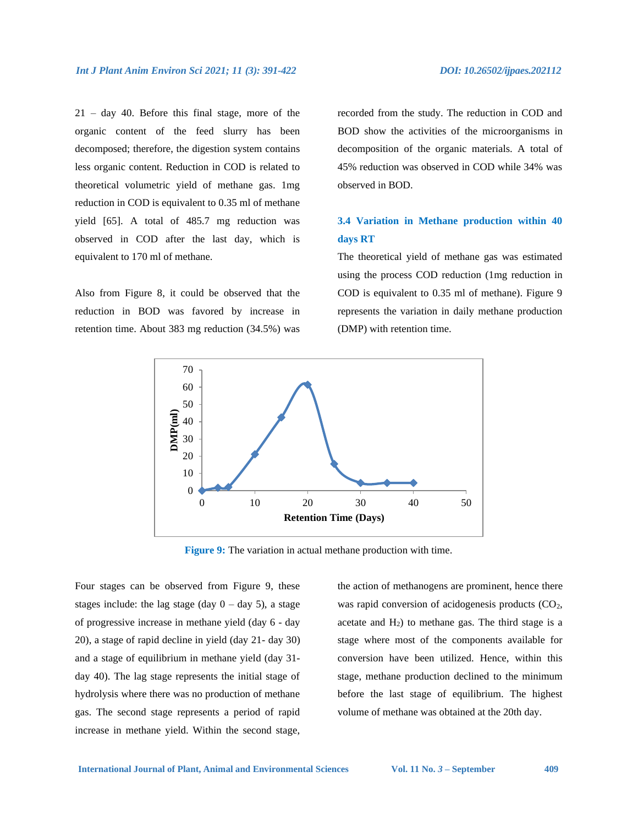21 – day 40. Before this final stage, more of the organic content of the feed slurry has been decomposed; therefore, the digestion system contains less organic content. Reduction in COD is related to theoretical volumetric yield of methane gas. 1mg reduction in COD is equivalent to 0.35 ml of methane yield [65]. A total of 485.7 mg reduction was observed in COD after the last day, which is equivalent to 170 ml of methane.

Also from Figure 8, it could be observed that the reduction in BOD was favored by increase in retention time. About 383 mg reduction (34.5%) was

recorded from the study. The reduction in COD and BOD show the activities of the microorganisms in decomposition of the organic materials. A total of 45% reduction was observed in COD while 34% was observed in BOD.

# **3.4 Variation in Methane production within 40 days RT**

The theoretical yield of methane gas was estimated using the process COD reduction (1mg reduction in COD is equivalent to 0.35 ml of methane). Figure 9 represents the variation in daily methane production (DMP) with retention time.



**Figure 9:** The variation in actual methane production with time.

Four stages can be observed from Figure 9, these stages include: the lag stage (day  $0 - day 5$ ), a stage of progressive increase in methane yield (day 6 - day 20), a stage of rapid decline in yield (day 21- day 30) and a stage of equilibrium in methane yield (day 31 day 40). The lag stage represents the initial stage of hydrolysis where there was no production of methane gas. The second stage represents a period of rapid increase in methane yield. Within the second stage, the action of methanogens are prominent, hence there was rapid conversion of acidogenesis products  $(CO<sub>2</sub>)$ , acetate and  $H_2$ ) to methane gas. The third stage is a stage where most of the components available for conversion have been utilized. Hence, within this stage, methane production declined to the minimum before the last stage of equilibrium. The highest volume of methane was obtained at the 20th day.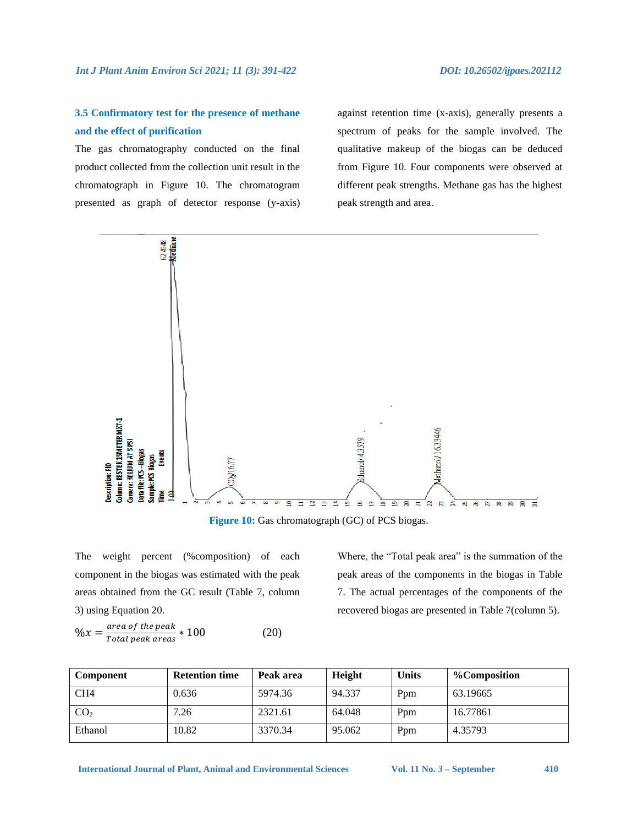# **3.5 Confirmatory test for the presence of methane and the effect of purification**

The gas chromatography conducted on the final product collected from the collection unit result in the chromatograph in Figure 10. The chromatogram presented as graph of detector response (y-axis) against retention time (x-axis), generally presents a spectrum of peaks for the sample involved. The qualitative makeup of the biogas can be deduced from Figure 10. Four components were observed at different peak strengths. Methane gas has the highest peak strength and area.



**Figure 10:** Gas chromatograph (GC) of PCS biogas.

The weight percent (%composition) of each component in the biogas was estimated with the peak areas obtained from the GC result (Table 7, column 3) using Equation 20.

$$
\%x = \frac{\text{area of the peak}}{\text{Total peak areas}} * 100\tag{20}
$$

Where, the "Total peak area" is the summation of the peak areas of the components in the biogas in Table 7. The actual percentages of the components of the recovered biogas are presented in Table 7(column 5).

| Component       | <b>Retention time</b> | Peak area | <b>Height</b> | <b>Units</b>    | %Composition |
|-----------------|-----------------------|-----------|---------------|-----------------|--------------|
| CH <sub>4</sub> | 0.636                 | 5974.36   | 94.337        | P <sub>pm</sub> | 63.19665     |
| CO <sub>2</sub> | 7.26                  | 2321.61   | 64.048        | Ppm             | 16.77861     |
| Ethanol         | 10.82                 | 3370.34   | 95.062        | Ppm             | 4.35793      |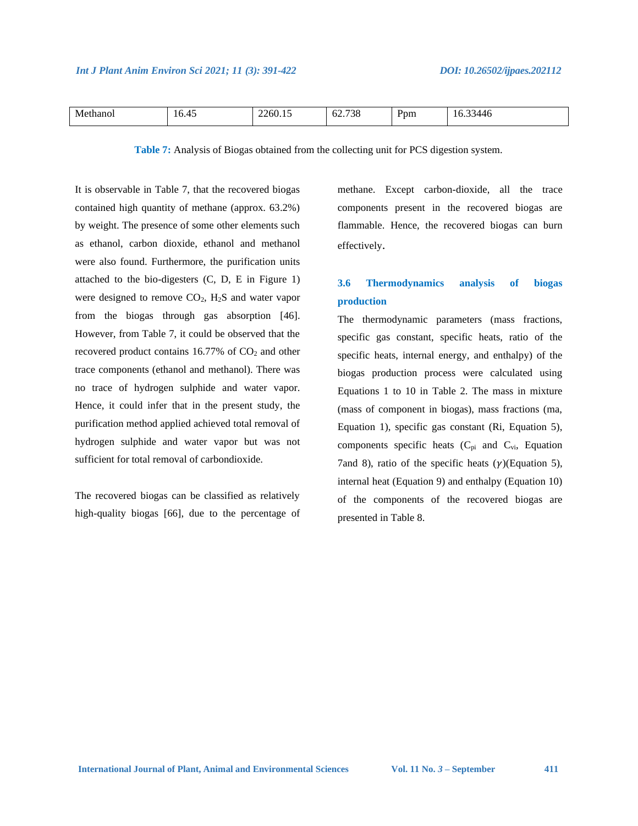| т.<br>М<br>10.45<br>11 O I | $\sim$ 0.0. | 720<br>--<br>סכי<br>UZ. | $v_{\rm pm}$ | ١r |
|----------------------------|-------------|-------------------------|--------------|----|
|----------------------------|-------------|-------------------------|--------------|----|

**Table 7:** Analysis of Biogas obtained from the collecting unit for PCS digestion system.

It is observable in Table 7, that the recovered biogas contained high quantity of methane (approx. 63.2%) by weight. The presence of some other elements such as ethanol, carbon dioxide, ethanol and methanol were also found. Furthermore, the purification units attached to the bio-digesters (C, D, E in Figure 1) were designed to remove CO2, H2S and water vapor from the biogas through gas absorption [46]. However, from Table 7, it could be observed that the recovered product contains  $16.77\%$  of  $CO<sub>2</sub>$  and other trace components (ethanol and methanol). There was no trace of hydrogen sulphide and water vapor. Hence, it could infer that in the present study, the purification method applied achieved total removal of hydrogen sulphide and water vapor but was not sufficient for total removal of carbondioxide.

The recovered biogas can be classified as relatively high-quality biogas [66], due to the percentage of methane. Except carbon-dioxide, all the trace components present in the recovered biogas are flammable. Hence, the recovered biogas can burn effectively.

# **3.6 Thermodynamics analysis of biogas production**

The thermodynamic parameters (mass fractions, specific gas constant, specific heats, ratio of the specific heats, internal energy, and enthalpy) of the biogas production process were calculated using Equations 1 to 10 in Table 2. The mass in mixture (mass of component in biogas), mass fractions (ma, Equation 1), specific gas constant (Ri, Equation 5), components specific heats  $(C_{pi}$  and  $C_{vi}$ , Equation 7and 8), ratio of the specific heats  $(\gamma)$ (Equation 5), internal heat (Equation 9) and enthalpy (Equation 10) of the components of the recovered biogas are presented in Table 8.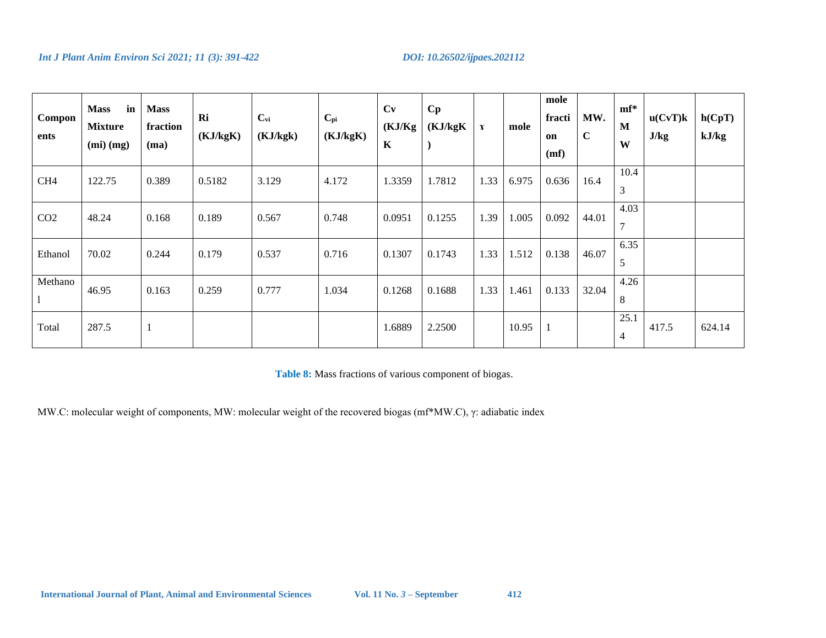| Compon<br>ents  | in<br><b>Mass</b><br><b>Mixture</b><br>$(mi)$ $(mg)$ | <b>Mass</b><br>fraction<br>(ma) | Ri<br>(KJ/kgK) | $C_{vi}$<br>(KJ/kgk) | $\mathbf{C}_{\mathbf{p}i}$<br>(KJ/kgK) | Cv<br>(KJ/Kg)<br>$\mathbf K$ | Cp<br>(KJ/kgK) | $\mathbf{r}$ | mole  | mole<br>fracti<br>on<br>(mf) | MW.<br>$\mathbf C$ | $mf^*$<br>M<br>W       | u(CvT)k<br>J/kg | h(CpT)<br>kJ/kg |
|-----------------|------------------------------------------------------|---------------------------------|----------------|----------------------|----------------------------------------|------------------------------|----------------|--------------|-------|------------------------------|--------------------|------------------------|-----------------|-----------------|
| CH <sub>4</sub> | 122.75                                               | 0.389                           | 0.5182         | 3.129                | 4.172                                  | 1.3359                       | 1.7812         | 1.33         | 6.975 | 0.636                        | 16.4               | 10.4<br>3              |                 |                 |
| CO <sub>2</sub> | 48.24                                                | 0.168                           | 0.189          | 0.567                | 0.748                                  | 0.0951                       | 0.1255         | 1.39         | 1.005 | 0.092                        | 44.01              | 4.03<br>$\overline{7}$ |                 |                 |
| Ethanol         | 70.02                                                | 0.244                           | 0.179          | 0.537                | 0.716                                  | 0.1307                       | 0.1743         | 1.33         | 1.512 | 0.138                        | 46.07              | 6.35<br>5              |                 |                 |
| Methano         | 46.95                                                | 0.163                           | 0.259          | 0.777                | 1.034                                  | 0.1268                       | 0.1688         | 1.33         | 1.461 | 0.133                        | 32.04              | 4.26<br>8              |                 |                 |
| Total           | 287.5                                                | $\mathbf{1}$                    |                |                      |                                        | 1.6889                       | 2.2500         |              | 10.95 |                              |                    | 25.1<br>$\overline{4}$ | 417.5           | 624.14          |

**Table 8:** Mass fractions of various component of biogas.

MW.C: molecular weight of components, MW: molecular weight of the recovered biogas (mf\*MW.C), γ: adiabatic index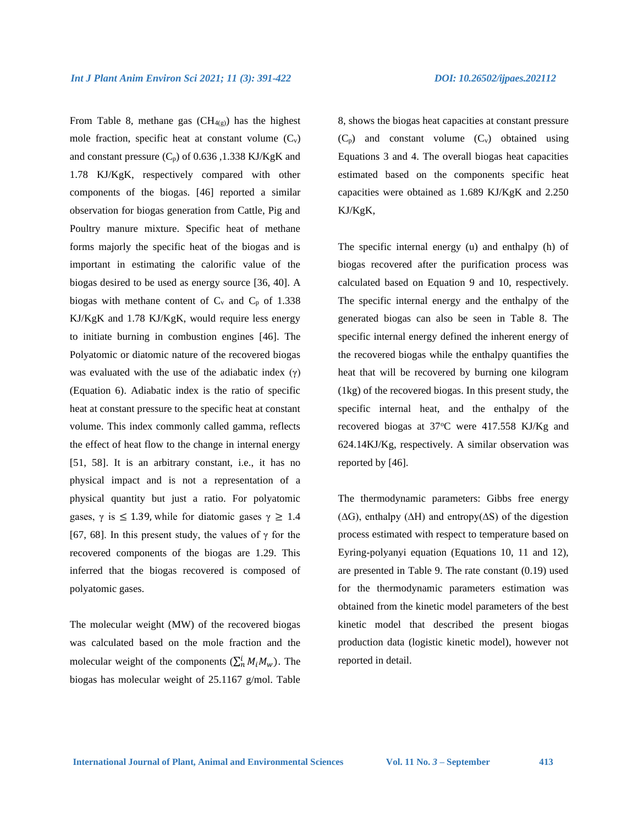From Table 8, methane gas  $(CH_{4(g)})$  has the highest mole fraction, specific heat at constant volume  $(C_v)$ and constant pressure  $(C_p)$  of 0.636, 1.338 KJ/KgK and 1.78 KJ/KgK, respectively compared with other components of the biogas. [46] reported a similar observation for biogas generation from Cattle, Pig and Poultry manure mixture. Specific heat of methane forms majorly the specific heat of the biogas and is important in estimating the calorific value of the biogas desired to be used as energy source [36, 40]. A biogas with methane content of  $C_v$  and  $C_p$  of 1.338 KJ/KgK and 1.78 KJ/KgK, would require less energy to initiate burning in combustion engines [46]. The Polyatomic or diatomic nature of the recovered biogas was evaluated with the use of the adiabatic index  $(\gamma)$ (Equation 6). Adiabatic index is the ratio of specific heat at constant pressure to the specific heat at constant volume. This index commonly called gamma, reflects the effect of heat flow to the change in internal energy [51, 58]. It is an arbitrary constant, i.e., it has no physical impact and is not a representation of a physical quantity but just a ratio. For polyatomic gases,  $\gamma$  is  $\leq$  1.39, while for diatomic gases  $\gamma \geq 1.4$ [67, 68]. In this present study, the values of  $\gamma$  for the recovered components of the biogas are 1.29. This inferred that the biogas recovered is composed of polyatomic gases.

The molecular weight (MW) of the recovered biogas was calculated based on the mole fraction and the molecular weight of the components  $(\sum_{n=1}^{i} M_i M_w)$ . The biogas has molecular weight of 25.1167 g/mol. Table

8, shows the biogas heat capacities at constant pressure  $(C_p)$  and constant volume  $(C_v)$  obtained using Equations 3 and 4. The overall biogas heat capacities estimated based on the components specific heat capacities were obtained as 1.689 KJ/KgK and 2.250 KJ/KgK,

The specific internal energy (u) and enthalpy (h) of biogas recovered after the purification process was calculated based on Equation 9 and 10, respectively. The specific internal energy and the enthalpy of the generated biogas can also be seen in Table 8. The specific internal energy defined the inherent energy of the recovered biogas while the enthalpy quantifies the heat that will be recovered by burning one kilogram (1kg) of the recovered biogas. In this present study, the specific internal heat, and the enthalpy of the recovered biogas at 37°C were 417.558 KJ/Kg and 624.14KJ/Kg, respectively. A similar observation was reported by [46].

The thermodynamic parameters: Gibbs free energy (∆G), enthalpy (∆H) and entropy(∆S) of the digestion process estimated with respect to temperature based on Eyring-polyanyi equation (Equations 10, 11 and 12), are presented in Table 9. The rate constant (0.19) used for the thermodynamic parameters estimation was obtained from the kinetic model parameters of the best kinetic model that described the present biogas production data (logistic kinetic model), however not reported in detail.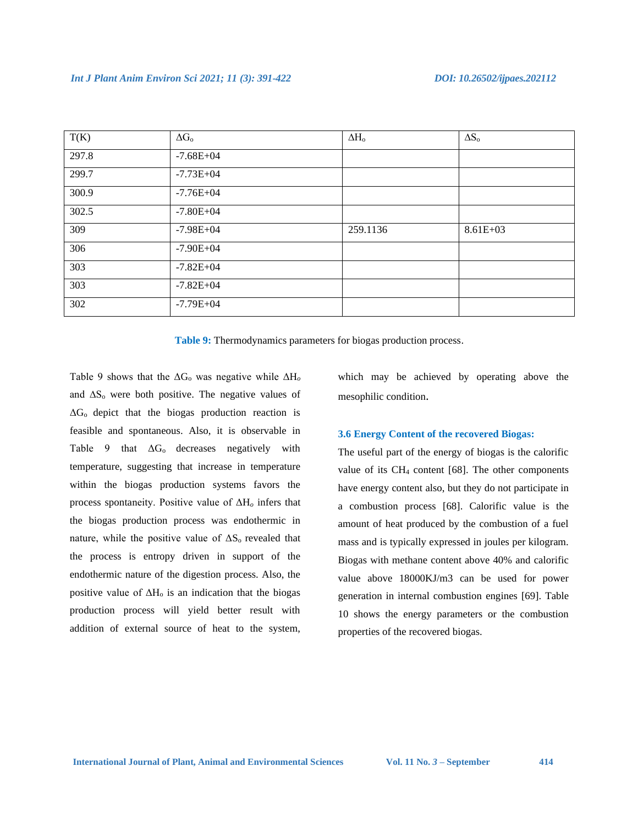| T(K)  | $\Delta G_{o}$ | $\Delta H_{o}$ | $\Delta S_o$ |
|-------|----------------|----------------|--------------|
| 297.8 | $-7.68E + 04$  |                |              |
| 299.7 | $-7.73E + 04$  |                |              |
| 300.9 | $-7.76E + 04$  |                |              |
| 302.5 | $-7.80E + 04$  |                |              |
| 309   | $-7.98E + 04$  | 259.1136       | $8.61E + 03$ |
| 306   | $-7.90E + 04$  |                |              |
| 303   | $-7.82E + 04$  |                |              |
| 303   | $-7.82E + 04$  |                |              |
| 302   | $-7.79E + 04$  |                |              |

**Table 9:** Thermodynamics parameters for biogas production process.

Table 9 shows that the ΔG<sup>o</sup> was negative while ΔH*<sup>o</sup>* and ∆S<sup>o</sup> were both positive. The negative values of  $\Delta G_0$  depict that the biogas production reaction is feasible and spontaneous. Also, it is observable in Table 9 that  $\Delta G_0$  decreases negatively with temperature, suggesting that increase in temperature within the biogas production systems favors the process spontaneity. Positive value of ΔH*<sup>o</sup>* infers that the biogas production process was endothermic in nature, while the positive value of  $\Delta S_0$  revealed that the process is entropy driven in support of the endothermic nature of the digestion process. Also, the positive value of  $\Delta H_0$  is an indication that the biogas production process will yield better result with addition of external source of heat to the system,

which may be achieved by operating above the mesophilic condition.

#### **3.6 Energy Content of the recovered Biogas:**

The useful part of the energy of biogas is the calorific value of its CH<sup>4</sup> content [68]. The other components have energy content also, but they do not participate in a combustion process [68]. Calorific value is the amount of heat produced by the combustion of a fuel mass and is typically expressed in joules per kilogram. Biogas with methane content above 40% and calorific value above 18000KJ/m3 can be used for power generation in internal combustion engines [69]. Table 10 shows the energy parameters or the combustion properties of the recovered biogas.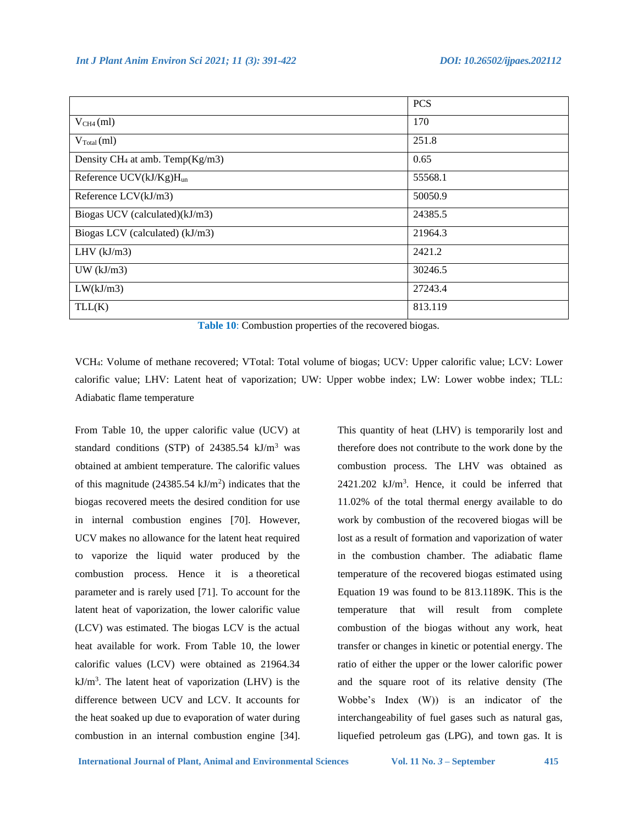|                                    | <b>PCS</b> |
|------------------------------------|------------|
| $V_{CH4}(ml)$                      | 170        |
| $V_{\text{Total}}(ml)$             | 251.8      |
| Density $CH_4$ at amb. Temp(Kg/m3) | 0.65       |
| Reference $UCV(kJ/Kg)H_{un}$       | 55568.1    |
| Reference LCV(kJ/m3)               | 50050.9    |
| Biogas UCV (calculated)(kJ/m3)     | 24385.5    |
| Biogas LCV (calculated) (kJ/m3)    | 21964.3    |
| LHV $(kJ/m3)$                      | 2421.2     |
| $UW$ ( $kJ/m3$ )                   | 30246.5    |
| LW(kJ/m3)                          | 27243.4    |
| TLL(K)                             | 813.119    |

|  |  | Table 10: Combustion properties of the recovered biogas. |  |  |  |  |
|--|--|----------------------------------------------------------|--|--|--|--|
|--|--|----------------------------------------------------------|--|--|--|--|

VCH4: Volume of methane recovered; VTotal: Total volume of biogas; UCV: Upper calorific value; LCV: Lower calorific value; LHV: Latent heat of vaporization; UW: Upper wobbe index; LW: Lower wobbe index; TLL: Adiabatic flame temperature

From Table 10, the upper calorific value (UCV) at standard conditions (STP) of 24385.54 kJ/m<sup>3</sup> was obtained at ambient temperature. The calorific values of this magnitude  $(24385.54 \text{ kJ/m}^2)$  indicates that the biogas recovered meets the desired condition for use in internal combustion engines [70]. However, UCV makes no allowance for the latent heat required to vaporize the liquid water produced by the combustion process. Hence it is a theoretical parameter and is rarely used [71]. To account for the latent heat of vaporization, the lower calorific value (LCV) was estimated. The biogas LCV is the actual heat available for work. From Table 10, the lower calorific values (LCV) were obtained as 21964.34  $kJ/m<sup>3</sup>$ . The latent heat of vaporization (LHV) is the difference between UCV and LCV. It accounts for the heat soaked up due to evaporation of water during combustion in an internal combustion engine [34].

This quantity of heat (LHV) is temporarily lost and therefore does not contribute to the work done by the combustion process. The LHV was obtained as  $2421.202$  kJ/m<sup>3</sup>. Hence, it could be inferred that 11.02% of the total thermal energy available to do work by combustion of the recovered biogas will be lost as a result of formation and vaporization of water in the combustion chamber. The adiabatic flame temperature of the recovered biogas estimated using Equation 19 was found to be 813.1189K. This is the temperature that will result from complete combustion of the biogas without any work, heat transfer or changes in kinetic or potential energy. The ratio of either the upper or the lower calorific power and the square root of its relative density (The Wobbe's Index (W)) is an indicator of the interchangeability of fuel gases such as natural gas, liquefied petroleum gas (LPG), and town gas. It is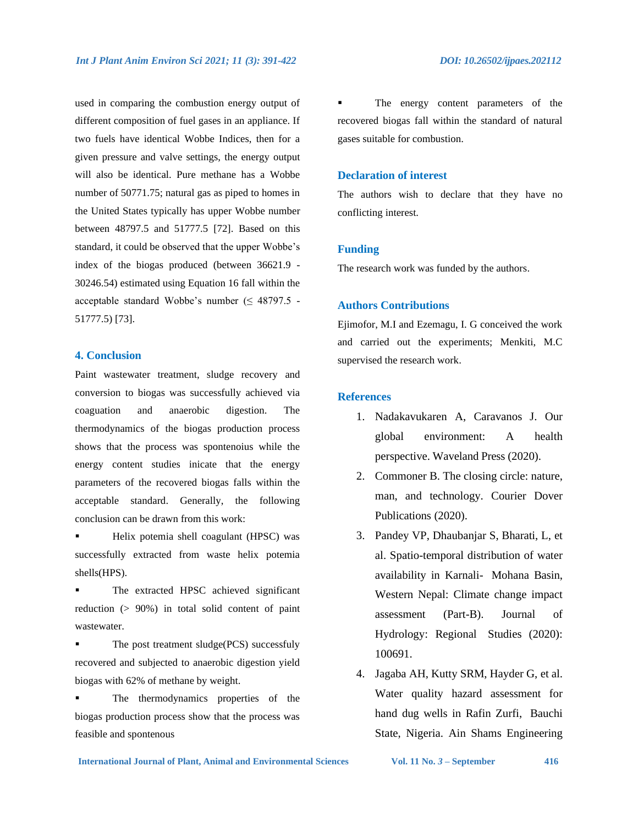used in comparing the combustion energy output of different composition of fuel gases in an appliance. If two fuels have identical Wobbe Indices, then for a given pressure and valve settings, the energy output will also be identical. Pure methane has a Wobbe number of 50771.75; natural gas as piped to homes in the United States typically has upper Wobbe number between 48797.5 and 51777.5 [72]. Based on this standard, it could be observed that the upper Wobbe's index of the biogas produced (between 36621.9 - 30246.54) estimated using Equation 16 fall within the acceptable standard Wobbe's number  $( \leq 48797.5 -$ 51777.5) [73].

### **4. Conclusion**

Paint wastewater treatment, sludge recovery and conversion to biogas was successfully achieved via coaguation and anaerobic digestion. The thermodynamics of the biogas production process shows that the process was spontenoius while the energy content studies inicate that the energy parameters of the recovered biogas falls within the acceptable standard. Generally, the following conclusion can be drawn from this work:

- Helix potemia shell coagulant (HPSC) was successfully extracted from waste helix potemia shells(HPS).
- The extracted HPSC achieved significant reduction (> 90%) in total solid content of paint wastewater.
- The post treatment sludge(PCS) successfuly recovered and subjected to anaerobic digestion yield biogas with 62% of methane by weight.
- The thermodynamics properties of the biogas production process show that the process was feasible and spontenous

The energy content parameters of the recovered biogas fall within the standard of natural gases suitable for combustion.

### **Declaration of interest**

The authors wish to declare that they have no conflicting interest.

#### **Funding**

The research work was funded by the authors.

#### **Authors Contributions**

Ejimofor, M.I and Ezemagu, I. G conceived the work and carried out the experiments; Menkiti, M.C supervised the research work.

### **References**

- 1. Nadakavukaren A, Caravanos J. Our global environment: A health perspective. Waveland Press (2020).
- 2. Commoner B. The closing circle: nature, man, and technology. Courier Dover Publications (2020).
- 3. Pandey VP, Dhaubanjar S, Bharati, L, et al. Spatio-temporal distribution of water availability in Karnali- Mohana Basin, Western Nepal: Climate change impact assessment (Part-B). Journal of Hydrology: Regional Studies (2020): 100691.
- 4. Jagaba AH, Kutty SRM, Hayder G, et al. Water quality hazard assessment for hand dug wells in Rafin Zurfi, Bauchi State, Nigeria. Ain Shams Engineering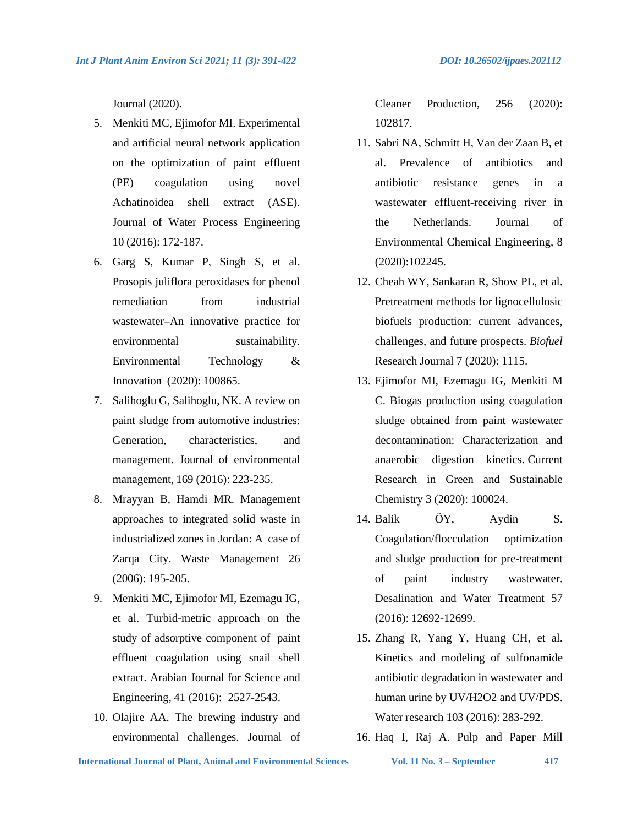Journal (2020).

- 5. Menkiti MC, Ejimofor MI. Experimental and artificial neural network application on the optimization of paint effluent (PE) coagulation using novel Achatinoidea shell extract (ASE). Journal of Water Process Engineering 10 (2016): 172-187.
- 6. Garg S, Kumar P, Singh S, et al. Prosopis juliflora peroxidases for phenol remediation from industrial wastewater–An innovative practice for environmental sustainability. Environmental Technology & Innovation (2020): 100865.
- 7. Salihoglu G, Salihoglu, NK. A review on paint sludge from automotive industries: Generation, characteristics, and management. Journal of environmental management, 169 (2016): 223-235.
- 8. Mrayyan B, Hamdi MR. Management approaches to integrated solid waste in industrialized zones in Jordan: A case of Zarqa City. Waste Management 26 (2006): 195-205.
- 9. Menkiti MC, Ejimofor MI, Ezemagu IG, et al. Turbid-metric approach on the study of adsorptive component of paint effluent coagulation using snail shell extract. Arabian Journal for Science and Engineering, 41 (2016): 2527-2543.
- 10. Olajire AA. The brewing industry and environmental challenges. Journal of

Cleaner Production, 256 (2020): 102817.

- 11. Sabri NA, Schmitt H, Van der Zaan B, et al. Prevalence of antibiotics and antibiotic resistance genes in a wastewater effluent-receiving river in the Netherlands. Journal of Environmental Chemical Engineering, 8 (2020):102245.
- 12. Cheah WY, Sankaran R, Show PL, et al. Pretreatment methods for lignocellulosic biofuels production: current advances, challenges, and future prospects. *Biofuel*  Research Journal 7 (2020): 1115.
- 13. Ejimofor MI, Ezemagu IG, Menkiti M C. Biogas production using coagulation sludge obtained from paint wastewater decontamination: Characterization and anaerobic digestion kinetics. Current Research in Green and Sustainable Chemistry 3 (2020): 100024.
- 14. Balik ÖY, Aydin S. Coagulation/flocculation optimization and sludge production for pre-treatment of paint industry wastewater. Desalination and Water Treatment 57 (2016): 12692-12699.
- 15. Zhang R, Yang Y, Huang CH, et al. Kinetics and modeling of sulfonamide antibiotic degradation in wastewater and human urine by UV/H2O2 and UV/PDS. Water research 103 (2016): 283-292.
- 16. Haq I, Raj A. Pulp and Paper Mill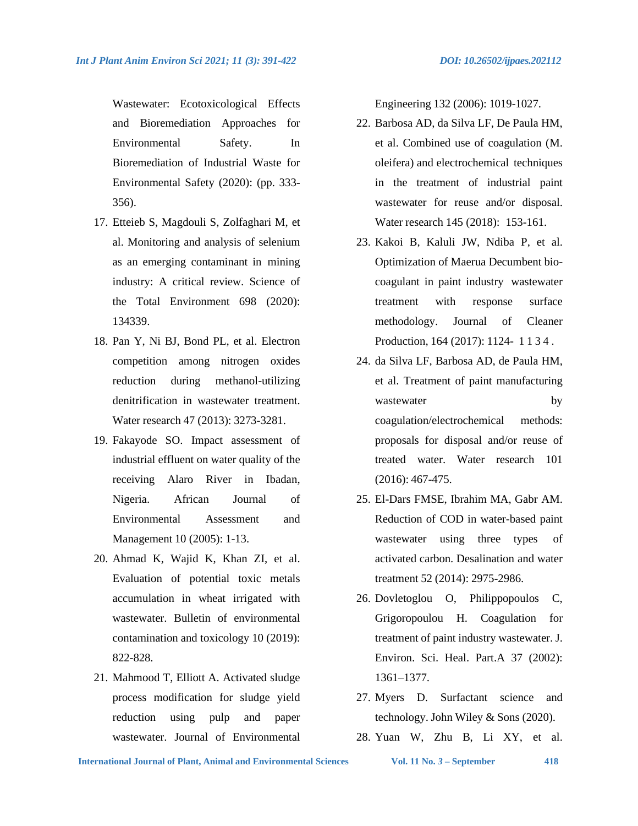Wastewater: Ecotoxicological Effects and Bioremediation Approaches for Environmental Safety. In Bioremediation of Industrial Waste for Environmental Safety (2020): (pp. 333- 356).

- 17. Etteieb S, Magdouli S, Zolfaghari M, et al. Monitoring and analysis of selenium as an emerging contaminant in mining industry: A critical review. Science of the Total Environment 698 (2020): 134339.
- 18. Pan Y, Ni BJ, Bond PL, et al. Electron competition among nitrogen oxides reduction during methanol-utilizing denitrification in wastewater treatment. Water research 47 (2013): 3273-3281.
- 19. Fakayode SO. Impact assessment of industrial effluent on water quality of the receiving Alaro River in Ibadan, Nigeria. African Journal of Environmental Assessment and Management 10 (2005): 1-13.
- 20. Ahmad K, Wajid K, Khan ZI, et al. Evaluation of potential toxic metals accumulation in wheat irrigated with wastewater. Bulletin of environmental contamination and toxicology 10 (2019): 822-828.
- 21. Mahmood T, Elliott A. Activated sludge process modification for sludge yield reduction using pulp and paper wastewater. Journal of Environmental

Engineering 132 (2006): 1019-1027.

- 22. Barbosa AD, da Silva LF, De Paula HM, et al. Combined use of coagulation (M. oleifera) and electrochemical techniques in the treatment of industrial paint wastewater for reuse and/or disposal. Water research 145 (2018): 153-161.
- 23. Kakoi B, Kaluli JW, Ndiba P, et al. Optimization of Maerua Decumbent biocoagulant in paint industry wastewater treatment with response surface methodology. Journal of Cleaner Production, 164 (2017): 1124-1134.
- 24. da Silva LF, Barbosa AD, de Paula HM, et al. Treatment of paint manufacturing wastewater by coagulation/electrochemical methods: proposals for disposal and/or reuse of treated water. Water research 101 (2016): 467-475.
- 25. El-Dars FMSE, Ibrahim MA, Gabr AM. Reduction of COD in water-based paint wastewater using three types of activated carbon. Desalination and water treatment 52 (2014): 2975-2986.
- 26. Dovletoglou O, Philippopoulos C, Grigoropoulou H. Coagulation for treatment of paint industry wastewater. J. Environ. Sci. Heal. Part.A 37 (2002): 1361–1377.
- 27. Myers D. Surfactant science and technology. John Wiley & Sons (2020).
- 28. Yuan W, Zhu B, Li XY, et al.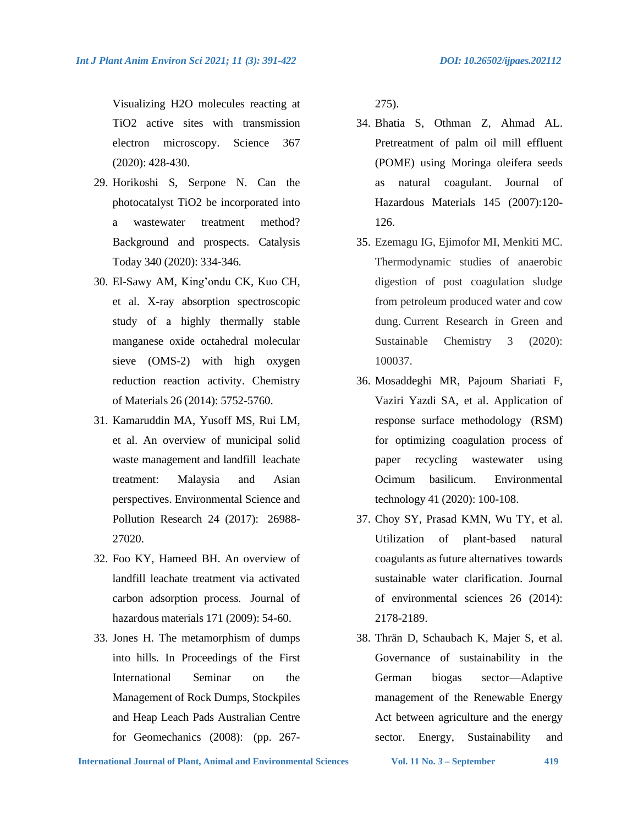Visualizing H2O molecules reacting at TiO2 active sites with transmission electron microscopy. Science 367 (2020): 428-430.

- 29. Horikoshi S, Serpone N. Can the photocatalyst TiO2 be incorporated into a wastewater treatment method? Background and prospects. Catalysis Today 340 (2020): 334-346.
- 30. El-Sawy AM, King'ondu CK, Kuo CH, et al. X-ray absorption spectroscopic study of a highly thermally stable manganese oxide octahedral molecular sieve (OMS-2) with high oxygen reduction reaction activity. Chemistry of Materials 26 (2014): 5752-5760.
- 31. Kamaruddin MA, Yusoff MS, Rui LM, et al. An overview of municipal solid waste management and landfill leachate treatment: Malaysia and Asian perspectives. Environmental Science and Pollution Research 24 (2017): 26988- 27020.
- 32. Foo KY, Hameed BH. An overview of landfill leachate treatment via activated carbon adsorption process. Journal of hazardous materials 171 (2009): 54-60.
- 33. Jones H. The metamorphism of dumps into hills. In Proceedings of the First International Seminar on the Management of Rock Dumps, Stockpiles and Heap Leach Pads Australian Centre for Geomechanics (2008): (pp. 267-

275).

- 34. Bhatia S, Othman Z, Ahmad AL. Pretreatment of palm oil mill effluent (POME) using Moringa oleifera seeds as natural coagulant. Journal of Hazardous Materials 145 (2007):120- 126.
- 35. Ezemagu IG, Ejimofor MI, Menkiti MC. Thermodynamic studies of anaerobic digestion of post coagulation sludge from petroleum produced water and cow dung. Current Research in Green and Sustainable Chemistry 3 (2020): 100037.
- 36. Mosaddeghi MR, Pajoum Shariati F, Vaziri Yazdi SA, et al. Application of response surface methodology (RSM) for optimizing coagulation process of paper recycling wastewater using Ocimum basilicum. Environmental technology 41 (2020): 100-108.
- 37. Choy SY, Prasad KMN, Wu TY, et al. Utilization of plant-based natural coagulants as future alternatives towards sustainable water clarification. Journal of environmental sciences 26 (2014): 2178-2189.
- 38. Thrän D, Schaubach K, Majer S, et al. Governance of sustainability in the German biogas sector—Adaptive management of the Renewable Energy Act between agriculture and the energy sector. Energy, Sustainability and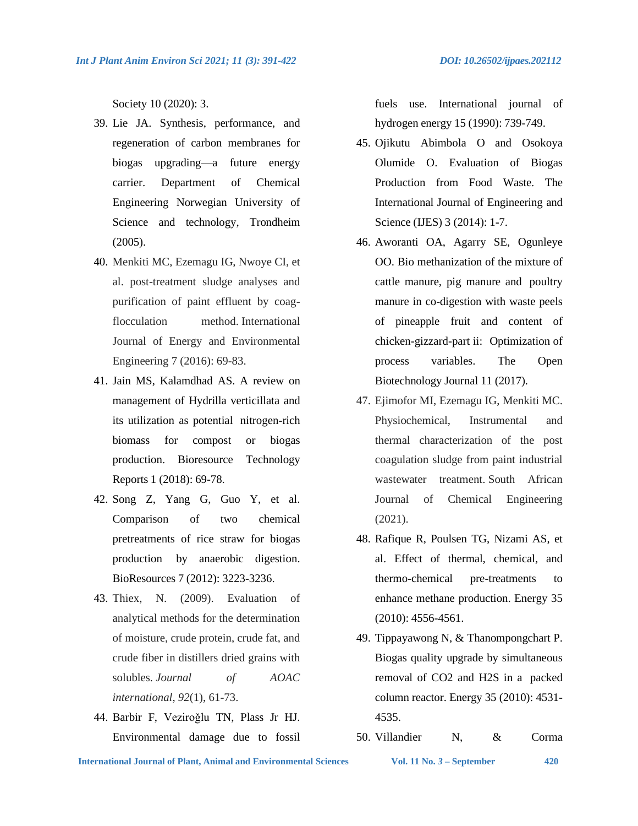Society 10 (2020): 3.

- 39. Lie JA. Synthesis, performance, and regeneration of carbon membranes for biogas upgrading—a future energy carrier. Department of Chemical Engineering Norwegian University of Science and technology, Trondheim (2005).
- 40. Menkiti MC, Ezemagu IG, Nwoye CI, et al. post-treatment sludge analyses and purification of paint effluent by coagflocculation method. International Journal of Energy and Environmental Engineering 7 (2016): 69-83.
- 41. Jain MS, Kalamdhad AS. A review on management of Hydrilla verticillata and its utilization as potential nitrogen-rich biomass for compost or biogas production. Bioresource Technology Reports 1 (2018): 69-78.
- 42. Song Z, Yang G, Guo Y, et al. Comparison of two chemical pretreatments of rice straw for biogas production by anaerobic digestion. BioResources 7 (2012): 3223-3236.
- 43. Thiex, N. (2009). Evaluation of analytical methods for the determination of moisture, crude protein, crude fat, and crude fiber in distillers dried grains with solubles. *Journal of AOAC international*, *92*(1), 61-73.
- 44. Barbir F, Veziroǧlu TN, Plass Jr HJ. Environmental damage due to fossil

fuels use. International journal of hydrogen energy 15 (1990): 739-749.

- 45. Ojikutu Abimbola O and Osokoya Olumide O. Evaluation of Biogas Production from Food Waste. The International Journal of Engineering and Science (IJES) 3 (2014): 1-7.
- 46. Aworanti OA, Agarry SE, Ogunleye OO. Bio methanization of the mixture of cattle manure, pig manure and poultry manure in co-digestion with waste peels of pineapple fruit and content of chicken-gizzard-part ii: Optimization of process variables. The Open Biotechnology Journal 11 (2017).
- 47. Ejimofor MI, Ezemagu IG, Menkiti MC. Physiochemical, Instrumental and thermal characterization of the post coagulation sludge from paint industrial wastewater treatment. South African Journal of Chemical Engineering (2021).
- 48. Rafique R, Poulsen TG, Nizami AS, et al. Effect of thermal, chemical, and thermo-chemical pre-treatments to enhance methane production. Energy 35 (2010): 4556-4561.
- 49. Tippayawong N, & Thanompongchart P. Biogas quality upgrade by simultaneous removal of CO2 and H2S in a packed column reactor. Energy 35 (2010): 4531- 4535.
- 50. Villandier N, & Corma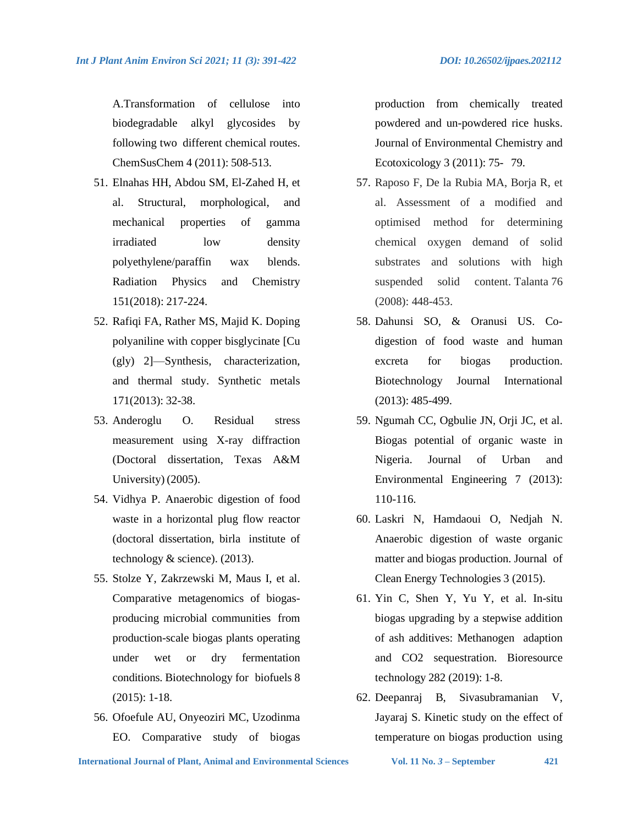A.Transformation of cellulose into biodegradable alkyl glycosides by following two different chemical routes. ChemSusChem 4 (2011): 508-513.

- 51. Elnahas HH, Abdou SM, El-Zahed H, et al. Structural, morphological, and mechanical properties of gamma irradiated low density polyethylene/paraffin wax blends. Radiation Physics and Chemistry 151(2018): 217-224.
- 52. Rafiqi FA, Rather MS, Majid K. Doping polyaniline with copper bisglycinate [Cu (gly) 2]—Synthesis, characterization, and thermal study. Synthetic metals 171(2013): 32-38.
- 53. Anderoglu O. Residual stress measurement using X-ray diffraction (Doctoral dissertation, Texas A&M University) (2005).
- 54. Vidhya P. Anaerobic digestion of food waste in a horizontal plug flow reactor (doctoral dissertation, birla institute of technology & science). (2013).
- 55. Stolze Y, Zakrzewski M, Maus I, et al. Comparative metagenomics of biogasproducing microbial communities from production-scale biogas plants operating under wet or dry fermentation conditions. Biotechnology for biofuels 8 (2015): 1-18.
- 56. Ofoefule AU, Onyeoziri MC, Uzodinma EO. Comparative study of biogas

production from chemically treated powdered and un-powdered rice husks. Journal of Environmental Chemistry and Ecotoxicology 3 (2011): 75- 79.

- 57. Raposo F, De la Rubia MA, Borja R, et al. Assessment of a modified and optimised method for determining chemical oxygen demand of solid substrates and solutions with high suspended solid content. Talanta 76 (2008): 448-453.
- 58. Dahunsi SO, & Oranusi US. Codigestion of food waste and human excreta for biogas production. Biotechnology Journal International (2013): 485-499.
- 59. Ngumah CC, Ogbulie JN, Orji JC, et al. Biogas potential of organic waste in Nigeria. Journal of Urban and Environmental Engineering 7 (2013): 110-116.
- 60. Laskri N, Hamdaoui O, Nedjah N. Anaerobic digestion of waste organic matter and biogas production. Journal of Clean Energy Technologies 3 (2015).
- 61. Yin C, Shen Y, Yu Y, et al. In-situ biogas upgrading by a stepwise addition of ash additives: Methanogen adaption and CO2 sequestration. Bioresource technology 282 (2019): 1-8.
- 62. Deepanraj B, Sivasubramanian V, Jayaraj S. Kinetic study on the effect of temperature on biogas production using